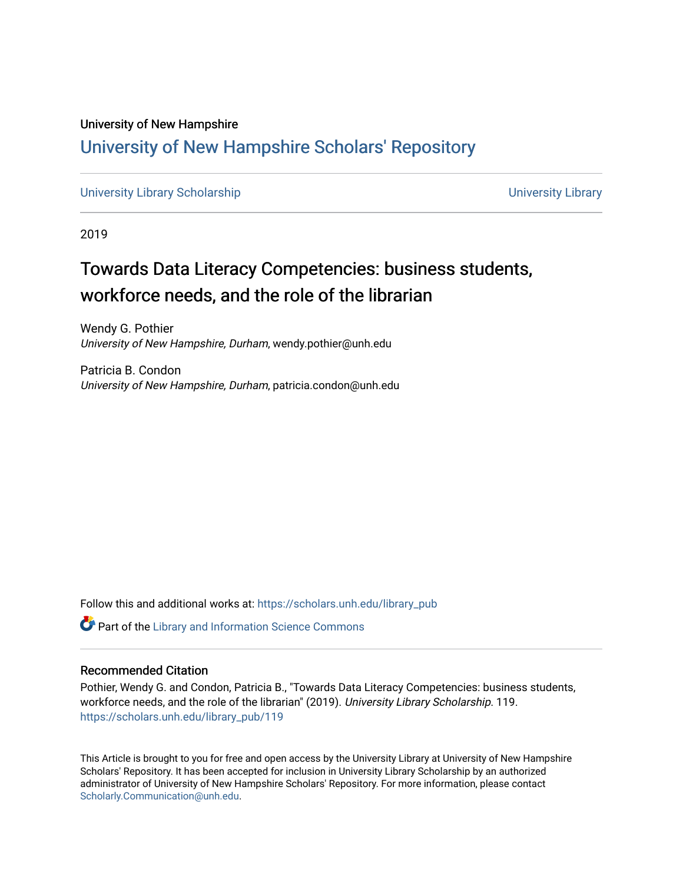## University of New Hampshire [University of New Hampshire Scholars' Repository](https://scholars.unh.edu/)

[University Library Scholarship](https://scholars.unh.edu/library_pub) Communication of the University Library

2019

# Towards Data Literacy Competencies: business students, workforce needs, and the role of the librarian

Wendy G. Pothier University of New Hampshire, Durham, wendy.pothier@unh.edu

Patricia B. Condon University of New Hampshire, Durham, patricia.condon@unh.edu

Follow this and additional works at: [https://scholars.unh.edu/library\\_pub](https://scholars.unh.edu/library_pub?utm_source=scholars.unh.edu%2Flibrary_pub%2F119&utm_medium=PDF&utm_campaign=PDFCoverPages)

Part of the [Library and Information Science Commons](http://network.bepress.com/hgg/discipline/1018?utm_source=scholars.unh.edu%2Flibrary_pub%2F119&utm_medium=PDF&utm_campaign=PDFCoverPages) 

#### Recommended Citation

Pothier, Wendy G. and Condon, Patricia B., "Towards Data Literacy Competencies: business students, workforce needs, and the role of the librarian" (2019). University Library Scholarship. 119. [https://scholars.unh.edu/library\\_pub/119](https://scholars.unh.edu/library_pub/119?utm_source=scholars.unh.edu%2Flibrary_pub%2F119&utm_medium=PDF&utm_campaign=PDFCoverPages)

This Article is brought to you for free and open access by the University Library at University of New Hampshire Scholars' Repository. It has been accepted for inclusion in University Library Scholarship by an authorized administrator of University of New Hampshire Scholars' Repository. For more information, please contact [Scholarly.Communication@unh.edu](mailto:Scholarly.Communication@unh.edu).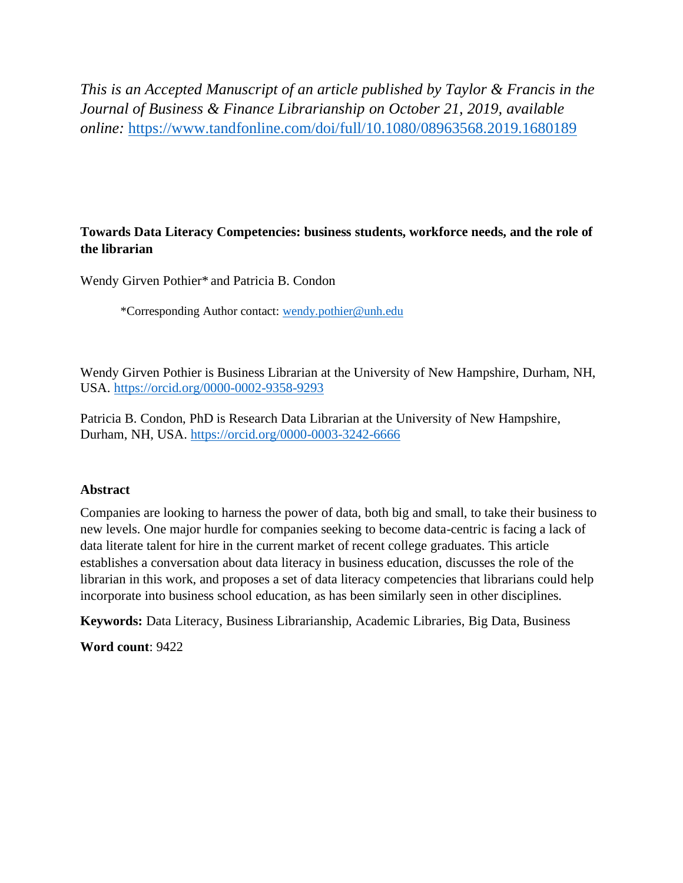*This is an Accepted Manuscript of an article published by Taylor & Francis in the Journal of Business & Finance Librarianship on October 21, 2019, available online:* <https://www.tandfonline.com/doi/full/10.1080/08963568.2019.1680189>

### **Towards Data Literacy Competencies: business students, workforce needs, and the role of the librarian**

Wendy Girven Pothier\* and Patricia B. Condon

\*Corresponding Author contact: [wendy.pothier@unh.edu](mailto:wendy.pothier@unh.edu)

Wendy Girven Pothier is Business Librarian at the University of New Hampshire, Durham, NH, USA.<https://orcid.org/0000-0002-9358-9293>

Patricia B. Condon, PhD is Research Data Librarian at the University of New Hampshire, Durham, NH, USA.<https://orcid.org/0000-0003-3242-6666>

#### **Abstract**

Companies are looking to harness the power of data, both big and small, to take their business to new levels. One major hurdle for companies seeking to become data-centric is facing a lack of data literate talent for hire in the current market of recent college graduates. This article establishes a conversation about data literacy in business education, discusses the role of the librarian in this work, and proposes a set of data literacy competencies that librarians could help incorporate into business school education, as has been similarly seen in other disciplines.

**Keywords:** Data Literacy, Business Librarianship, Academic Libraries, Big Data, Business

**Word count**: 9422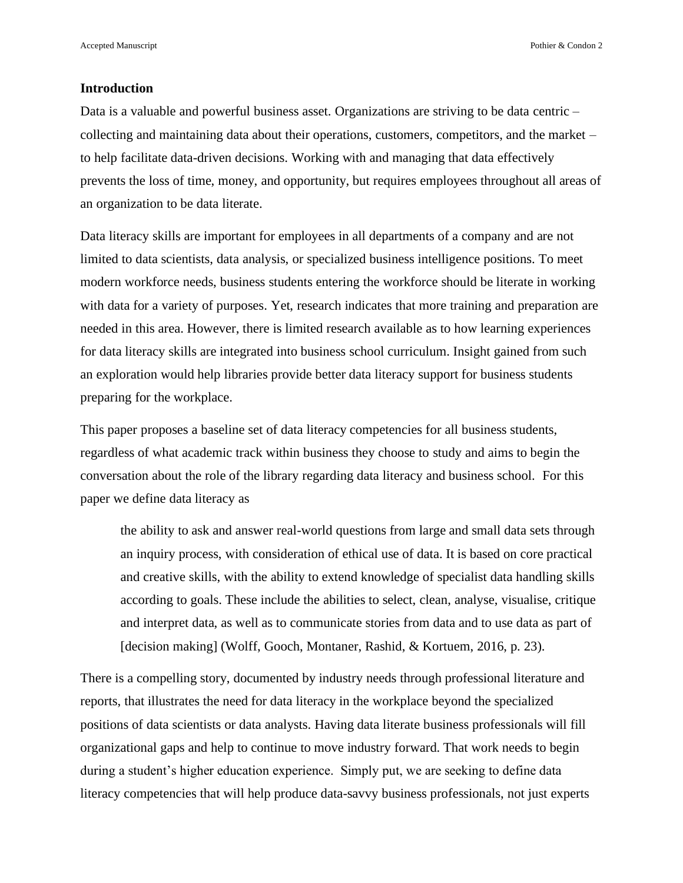Accepted Manuscript **Pothier & Condon 2 Pothier & Condon 2** 

#### **Introduction**

Data is a valuable and powerful business asset. Organizations are striving to be data centric – collecting and maintaining data about their operations, customers, competitors, and the market – to help facilitate data-driven decisions. Working with and managing that data effectively prevents the loss of time, money, and opportunity, but requires employees throughout all areas of an organization to be data literate.

Data literacy skills are important for employees in all departments of a company and are not limited to data scientists, data analysis, or specialized business intelligence positions. To meet modern workforce needs, business students entering the workforce should be literate in working with data for a variety of purposes. Yet, research indicates that more training and preparation are needed in this area. However, there is limited research available as to how learning experiences for data literacy skills are integrated into business school curriculum. Insight gained from such an exploration would help libraries provide better data literacy support for business students preparing for the workplace.

This paper proposes a baseline set of data literacy competencies for all business students, regardless of what academic track within business they choose to study and aims to begin the conversation about the role of the library regarding data literacy and business school. For this paper we define data literacy as

the ability to ask and answer real-world questions from large and small data sets through an inquiry process, with consideration of ethical use of data. It is based on core practical and creative skills, with the ability to extend knowledge of specialist data handling skills according to goals. These include the abilities to select, clean, analyse, visualise, critique and interpret data, as well as to communicate stories from data and to use data as part of [decision making] (Wolff, Gooch, Montaner, Rashid, & Kortuem, 2016, p. 23).

There is a compelling story, documented by industry needs through professional literature and reports, that illustrates the need for data literacy in the workplace beyond the specialized positions of data scientists or data analysts. Having data literate business professionals will fill organizational gaps and help to continue to move industry forward. That work needs to begin during a student's higher education experience. Simply put, we are seeking to define data literacy competencies that will help produce data-savvy business professionals, not just experts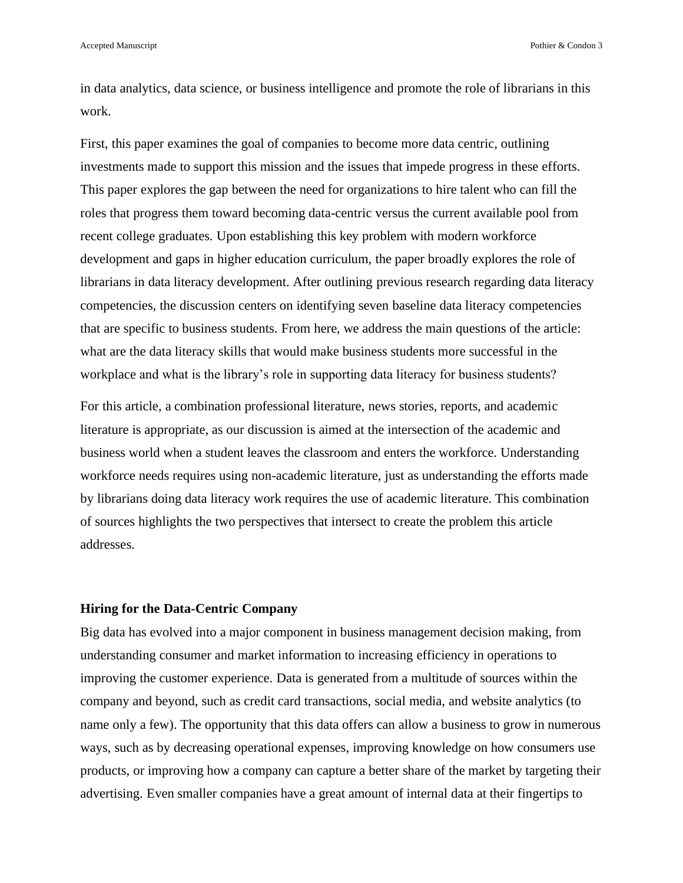in data analytics, data science, or business intelligence and promote the role of librarians in this work.

First, this paper examines the goal of companies to become more data centric, outlining investments made to support this mission and the issues that impede progress in these efforts. This paper explores the gap between the need for organizations to hire talent who can fill the roles that progress them toward becoming data-centric versus the current available pool from recent college graduates. Upon establishing this key problem with modern workforce development and gaps in higher education curriculum, the paper broadly explores the role of librarians in data literacy development. After outlining previous research regarding data literacy competencies, the discussion centers on identifying seven baseline data literacy competencies that are specific to business students. From here, we address the main questions of the article: what are the data literacy skills that would make business students more successful in the workplace and what is the library's role in supporting data literacy for business students?

For this article, a combination professional literature, news stories, reports, and academic literature is appropriate, as our discussion is aimed at the intersection of the academic and business world when a student leaves the classroom and enters the workforce. Understanding workforce needs requires using non-academic literature, just as understanding the efforts made by librarians doing data literacy work requires the use of academic literature. This combination of sources highlights the two perspectives that intersect to create the problem this article addresses.

#### **Hiring for the Data-Centric Company**

Big data has evolved into a major component in business management decision making, from understanding consumer and market information to increasing efficiency in operations to improving the customer experience. Data is generated from a multitude of sources within the company and beyond, such as credit card transactions, social media, and website analytics (to name only a few). The opportunity that this data offers can allow a business to grow in numerous ways, such as by decreasing operational expenses, improving knowledge on how consumers use products, or improving how a company can capture a better share of the market by targeting their advertising. Even smaller companies have a great amount of internal data at their fingertips to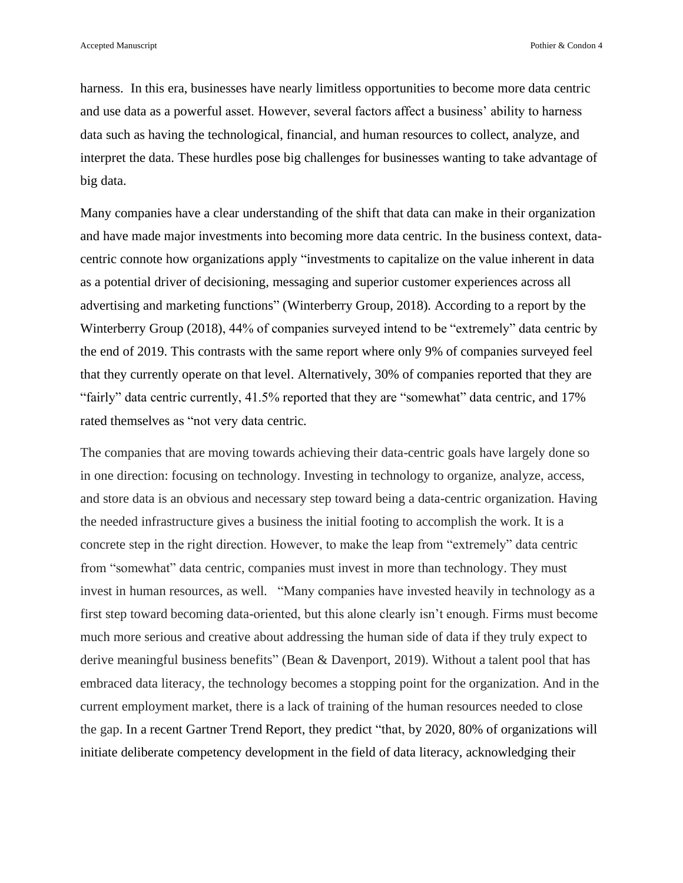harness. In this era, businesses have nearly limitless opportunities to become more data centric and use data as a powerful asset. However, several factors affect a business' ability to harness data such as having the technological, financial, and human resources to collect, analyze, and interpret the data. These hurdles pose big challenges for businesses wanting to take advantage of big data.

Many companies have a clear understanding of the shift that data can make in their organization and have made major investments into becoming more data centric. In the business context, datacentric connote how organizations apply "investments to capitalize on the value inherent in data as a potential driver of decisioning, messaging and superior customer experiences across all advertising and marketing functions" (Winterberry Group, 2018). According to a report by the Winterberry Group (2018), 44% of companies surveyed intend to be "extremely" data centric by the end of 2019. This contrasts with the same report where only 9% of companies surveyed feel that they currently operate on that level. Alternatively, 30% of companies reported that they are "fairly" data centric currently, 41.5% reported that they are "somewhat" data centric, and 17% rated themselves as "not very data centric.

The companies that are moving towards achieving their data-centric goals have largely done so in one direction: focusing on technology. Investing in technology to organize, analyze, access, and store data is an obvious and necessary step toward being a data-centric organization. Having the needed infrastructure gives a business the initial footing to accomplish the work. It is a concrete step in the right direction. However, to make the leap from "extremely" data centric from "somewhat" data centric, companies must invest in more than technology. They must invest in human resources, as well. "Many companies have invested heavily in technology as a first step toward becoming data-oriented, but this alone clearly isn't enough. Firms must become much more serious and creative about addressing the human side of data if they truly expect to derive meaningful business benefits" (Bean & Davenport, 2019). Without a talent pool that has embraced data literacy, the technology becomes a stopping point for the organization. And in the current employment market, there is a lack of training of the human resources needed to close the gap. In a recent Gartner Trend Report, they predict "that, by 2020, 80% of organizations will initiate deliberate competency development in the field of data literacy, acknowledging their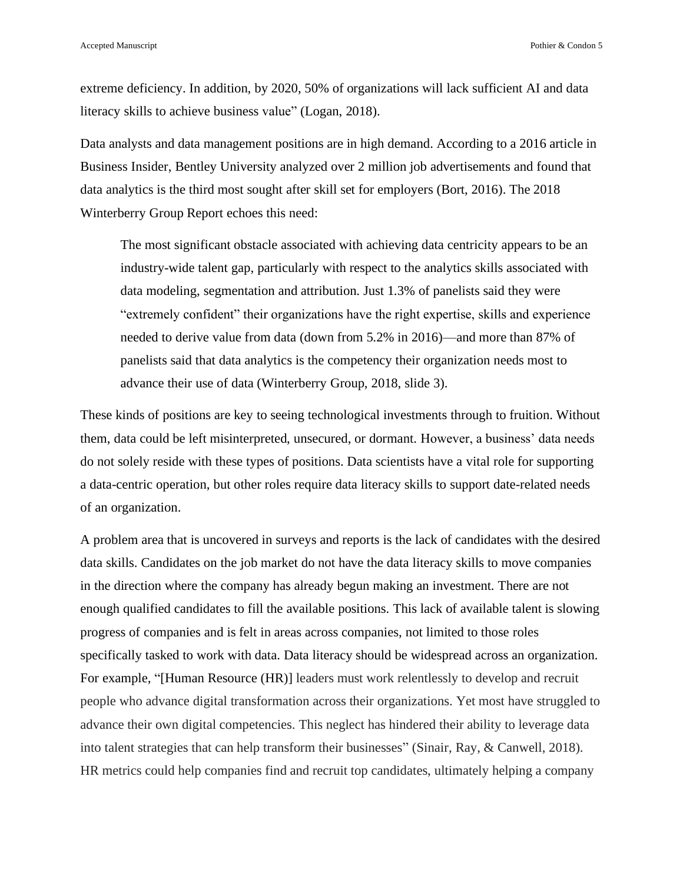extreme deficiency. In addition, by 2020, 50% of organizations will lack sufficient AI and data literacy skills to achieve business value" (Logan, 2018).

Data analysts and data management positions are in high demand. According to a 2016 article in Business Insider, Bentley University analyzed over 2 million job advertisements and found that data analytics is the third most sought after skill set for employers (Bort, 2016). The 2018 Winterberry Group Report echoes this need:

The most significant obstacle associated with achieving data centricity appears to be an industry-wide talent gap, particularly with respect to the analytics skills associated with data modeling, segmentation and attribution. Just 1.3% of panelists said they were "extremely confident" their organizations have the right expertise, skills and experience needed to derive value from data (down from 5.2% in 2016)—and more than 87% of panelists said that data analytics is the competency their organization needs most to advance their use of data (Winterberry Group, 2018, slide 3).

These kinds of positions are key to seeing technological investments through to fruition. Without them, data could be left misinterpreted, unsecured, or dormant. However, a business' data needs do not solely reside with these types of positions. Data scientists have a vital role for supporting a data-centric operation, but other roles require data literacy skills to support date-related needs of an organization.

A problem area that is uncovered in surveys and reports is the lack of candidates with the desired data skills. Candidates on the job market do not have the data literacy skills to move companies in the direction where the company has already begun making an investment. There are not enough qualified candidates to fill the available positions. This lack of available talent is slowing progress of companies and is felt in areas across companies, not limited to those roles specifically tasked to work with data. Data literacy should be widespread across an organization. For example, "[Human Resource (HR)] leaders must work relentlessly to develop and recruit people who advance digital transformation across their organizations. Yet most have struggled to advance their own digital competencies. This neglect has hindered their ability to leverage data into talent strategies that can help transform their businesses" (Sinair, Ray, & Canwell, 2018). HR metrics could help companies find and recruit top candidates, ultimately helping a company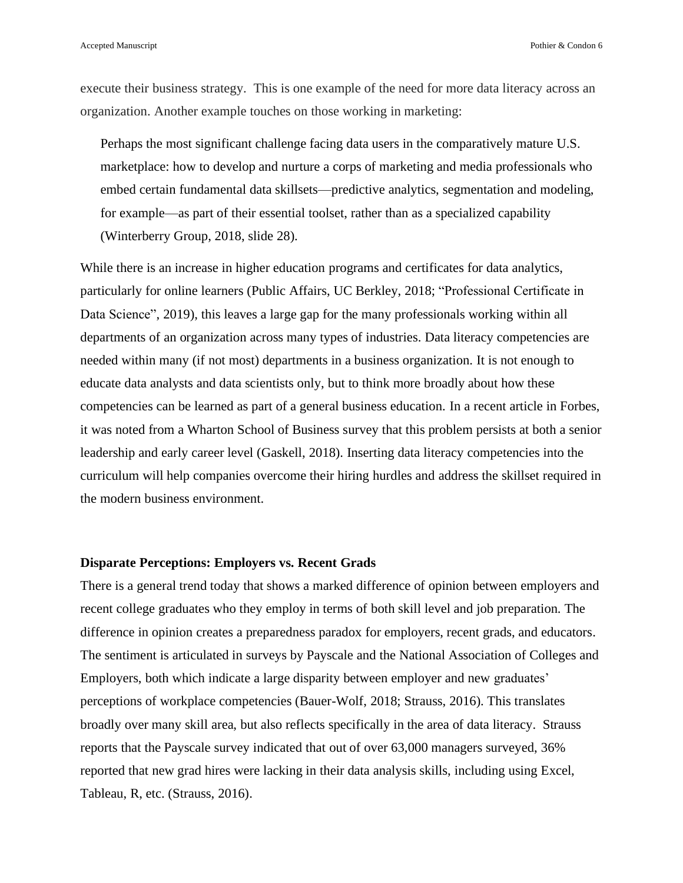execute their business strategy. This is one example of the need for more data literacy across an organization. Another example touches on those working in marketing:

Perhaps the most significant challenge facing data users in the comparatively mature U.S. marketplace: how to develop and nurture a corps of marketing and media professionals who embed certain fundamental data skillsets—predictive analytics, segmentation and modeling, for example—as part of their essential toolset, rather than as a specialized capability (Winterberry Group, 2018, slide 28).

While there is an increase in higher education programs and certificates for data analytics, particularly for online learners (Public Affairs, UC Berkley, 2018; "Professional Certificate in Data Science", 2019), this leaves a large gap for the many professionals working within all departments of an organization across many types of industries. Data literacy competencies are needed within many (if not most) departments in a business organization. It is not enough to educate data analysts and data scientists only, but to think more broadly about how these competencies can be learned as part of a general business education. In a recent article in Forbes, it was noted from a Wharton School of Business survey that this problem persists at both a senior leadership and early career level (Gaskell, 2018). Inserting data literacy competencies into the curriculum will help companies overcome their hiring hurdles and address the skillset required in the modern business environment.

#### **Disparate Perceptions: Employers vs. Recent Grads**

There is a general trend today that shows a marked difference of opinion between employers and recent college graduates who they employ in terms of both skill level and job preparation. The difference in opinion creates a preparedness paradox for employers, recent grads, and educators. The sentiment is articulated in surveys by Payscale and the National Association of Colleges and Employers, both which indicate a large disparity between employer and new graduates' perceptions of workplace competencies (Bauer-Wolf, 2018; Strauss, 2016). This translates broadly over many skill area, but also reflects specifically in the area of data literacy. Strauss reports that the Payscale survey indicated that out of over 63,000 managers surveyed, 36% reported that new grad hires were lacking in their data analysis skills, including using Excel, Tableau, R, etc. (Strauss, 2016).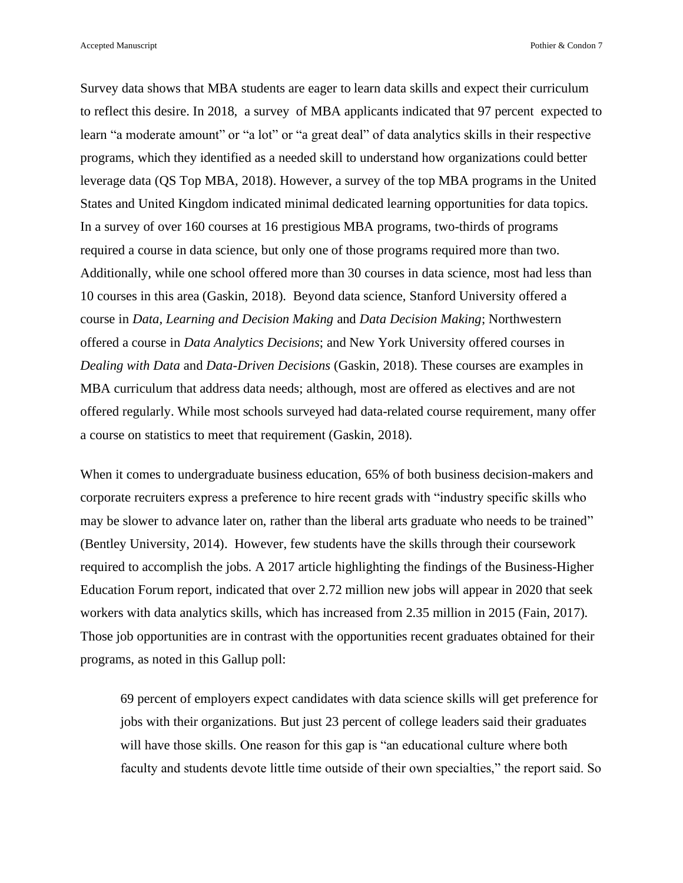Accepted Manuscript **Pothier & Condon 7** Pothier & Condon 7

Survey data shows that MBA students are eager to learn data skills and expect their curriculum to reflect this desire. In 2018, a survey of MBA applicants indicated that 97 percent expected to learn "a moderate amount" or "a lot" or "a great deal" of data analytics skills in their respective programs, which they identified as a needed skill to understand how organizations could better leverage data (QS Top MBA, 2018). However, a survey of the top MBA programs in the United States and United Kingdom indicated minimal dedicated learning opportunities for data topics. In a survey of over 160 courses at 16 prestigious MBA programs, two-thirds of programs required a course in data science, but only one of those programs required more than two. Additionally, while one school offered more than 30 courses in data science, most had less than 10 courses in this area (Gaskin, 2018). Beyond data science, Stanford University offered a course in *Data, Learning and Decision Making* and *Data Decision Making*; Northwestern offered a course in *Data Analytics Decisions*; and New York University offered courses in *Dealing with Data* and *Data-Driven Decisions* (Gaskin, 2018). These courses are examples in MBA curriculum that address data needs; although, most are offered as electives and are not offered regularly. While most schools surveyed had data-related course requirement, many offer a course on statistics to meet that requirement (Gaskin, 2018).

When it comes to undergraduate business education, 65% of both business decision-makers and corporate recruiters express a preference to hire recent grads with "industry specific skills who may be slower to advance later on, rather than the liberal arts graduate who needs to be trained" (Bentley University, 2014). However, few students have the skills through their coursework required to accomplish the jobs. A 2017 article highlighting the findings of the Business-Higher Education Forum report, indicated that over 2.72 million new jobs will appear in 2020 that seek workers with data analytics skills, which has increased from 2.35 million in 2015 (Fain, 2017). Those job opportunities are in contrast with the opportunities recent graduates obtained for their programs, as noted in this Gallup poll:

69 percent of employers expect candidates with data science skills will get preference for jobs with their organizations. But just 23 percent of college leaders said their graduates will have those skills. One reason for this gap is "an educational culture where both faculty and students devote little time outside of their own specialties," the report said. So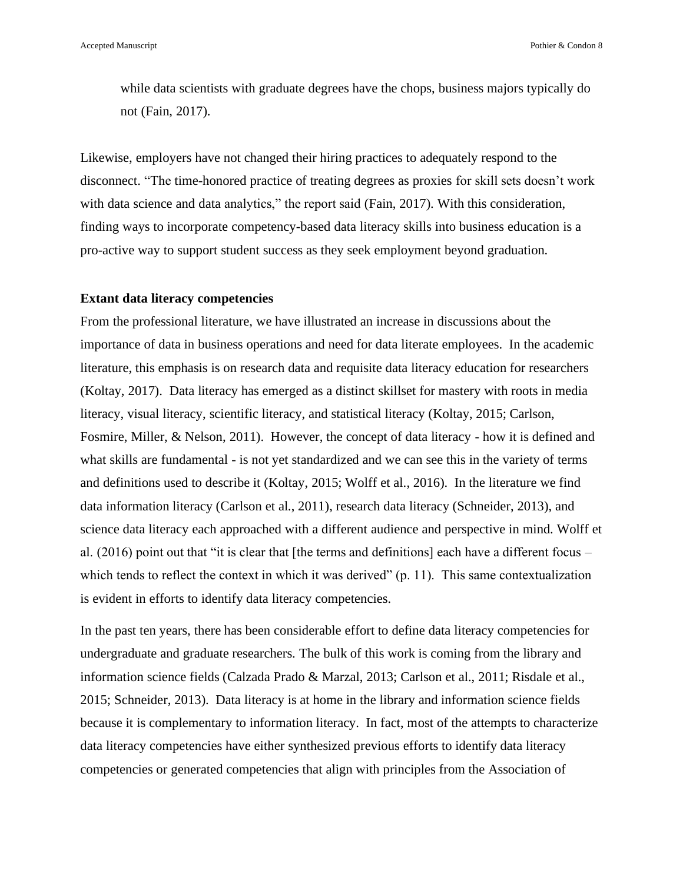while data scientists with graduate degrees have the chops, business majors typically do not (Fain, 2017).

Likewise, employers have not changed their hiring practices to adequately respond to the disconnect. "The time-honored practice of treating degrees as proxies for skill sets doesn't work with data science and data analytics," the report said (Fain, 2017). With this consideration, finding ways to incorporate competency-based data literacy skills into business education is a pro-active way to support student success as they seek employment beyond graduation.

#### **Extant data literacy competencies**

From the professional literature, we have illustrated an increase in discussions about the importance of data in business operations and need for data literate employees. In the academic literature, this emphasis is on research data and requisite data literacy education for researchers (Koltay, 2017). Data literacy has emerged as a distinct skillset for mastery with roots in media literacy, visual literacy, scientific literacy, and statistical literacy (Koltay, 2015; Carlson, Fosmire, Miller, & Nelson, 2011). However, the concept of data literacy - how it is defined and what skills are fundamental - is not yet standardized and we can see this in the variety of terms and definitions used to describe it (Koltay, 2015; Wolff et al., 2016). In the literature we find data information literacy (Carlson et al., 2011), research data literacy (Schneider, 2013), and science data literacy each approached with a different audience and perspective in mind. Wolff et al. (2016) point out that "it is clear that [the terms and definitions] each have a different focus – which tends to reflect the context in which it was derived" (p. 11). This same contextualization is evident in efforts to identify data literacy competencies.

In the past ten years, there has been considerable effort to define data literacy competencies for undergraduate and graduate researchers. The bulk of this work is coming from the library and information science fields (Calzada Prado & Marzal, 2013; Carlson et al., 2011; Risdale et al., 2015; Schneider, 2013). Data literacy is at home in the library and information science fields because it is complementary to information literacy. In fact, most of the attempts to characterize data literacy competencies have either synthesized previous efforts to identify data literacy competencies or generated competencies that align with principles from the Association of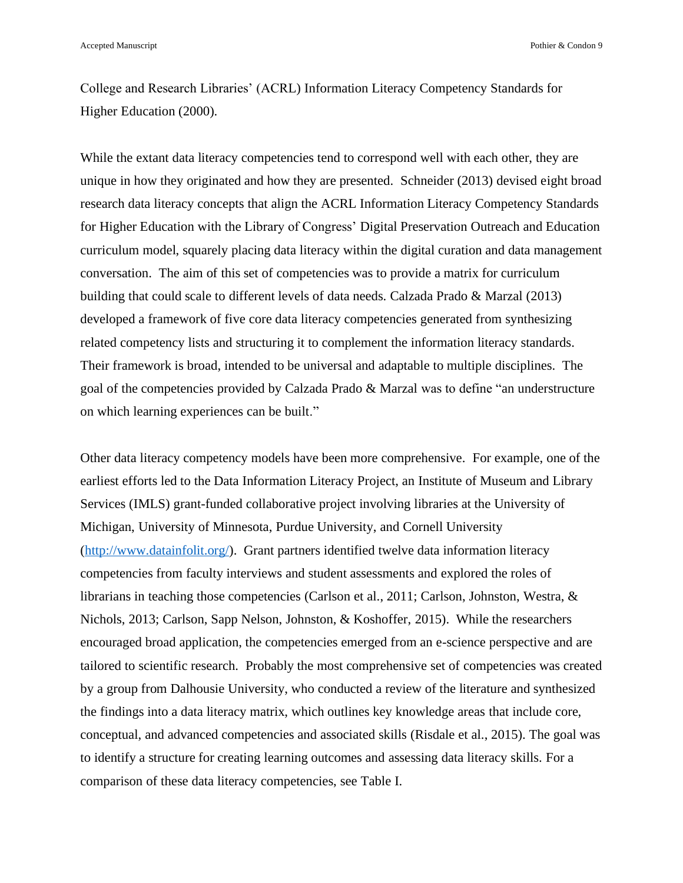College and Research Libraries' (ACRL) Information Literacy Competency Standards for Higher Education (2000).

While the extant data literacy competencies tend to correspond well with each other, they are unique in how they originated and how they are presented. Schneider (2013) devised eight broad research data literacy concepts that align the ACRL Information Literacy Competency Standards for Higher Education with the Library of Congress' Digital Preservation Outreach and Education curriculum model, squarely placing data literacy within the digital curation and data management conversation. The aim of this set of competencies was to provide a matrix for curriculum building that could scale to different levels of data needs. Calzada Prado & Marzal (2013) developed a framework of five core data literacy competencies generated from synthesizing related competency lists and structuring it to complement the information literacy standards. Their framework is broad, intended to be universal and adaptable to multiple disciplines. The goal of the competencies provided by Calzada Prado & Marzal was to define "an understructure on which learning experiences can be built."

Other data literacy competency models have been more comprehensive. For example, one of the earliest efforts led to the Data Information Literacy Project, an Institute of Museum and Library Services (IMLS) grant-funded collaborative project involving libraries at the University of Michigan, University of Minnesota, Purdue University, and Cornell University [\(http://www.datainfolit.org/\)](http://www.datainfolit.org/). Grant partners identified twelve data information literacy competencies from faculty interviews and student assessments and explored the roles of librarians in teaching those competencies (Carlson et al., 2011; Carlson, Johnston, Westra, & Nichols, 2013; Carlson, Sapp Nelson, Johnston, & Koshoffer, 2015). While the researchers encouraged broad application, the competencies emerged from an e-science perspective and are tailored to scientific research. Probably the most comprehensive set of competencies was created by a group from Dalhousie University, who conducted a review of the literature and synthesized the findings into a data literacy matrix, which outlines key knowledge areas that include core, conceptual, and advanced competencies and associated skills (Risdale et al., 2015). The goal was to identify a structure for creating learning outcomes and assessing data literacy skills. For a comparison of these data literacy competencies, see Table I.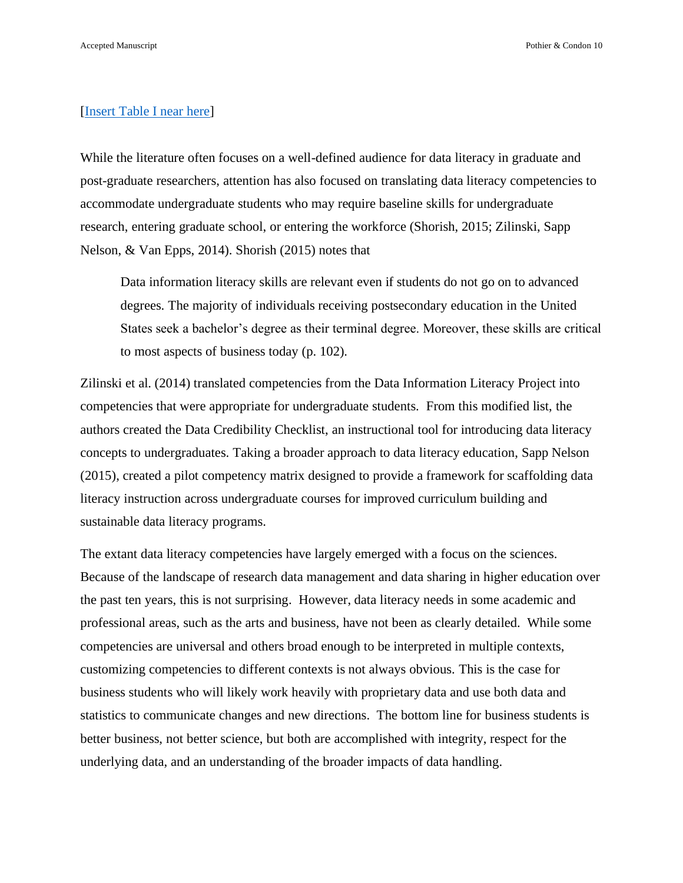#### [\[Insert Table I near here\]](#page-28-0)

While the literature often focuses on a well-defined audience for data literacy in graduate and post-graduate researchers, attention has also focused on translating data literacy competencies to accommodate undergraduate students who may require baseline skills for undergraduate research, entering graduate school, or entering the workforce (Shorish, 2015; Zilinski, Sapp Nelson, & Van Epps, 2014). Shorish (2015) notes that

Data information literacy skills are relevant even if students do not go on to advanced degrees. The majority of individuals receiving postsecondary education in the United States seek a bachelor's degree as their terminal degree. Moreover, these skills are critical to most aspects of business today (p. 102).

Zilinski et al. (2014) translated competencies from the Data Information Literacy Project into competencies that were appropriate for undergraduate students. From this modified list, the authors created the Data Credibility Checklist, an instructional tool for introducing data literacy concepts to undergraduates. Taking a broader approach to data literacy education, Sapp Nelson (2015), created a pilot competency matrix designed to provide a framework for scaffolding data literacy instruction across undergraduate courses for improved curriculum building and sustainable data literacy programs.

The extant data literacy competencies have largely emerged with a focus on the sciences. Because of the landscape of research data management and data sharing in higher education over the past ten years, this is not surprising. However, data literacy needs in some academic and professional areas, such as the arts and business, have not been as clearly detailed. While some competencies are universal and others broad enough to be interpreted in multiple contexts, customizing competencies to different contexts is not always obvious. This is the case for business students who will likely work heavily with proprietary data and use both data and statistics to communicate changes and new directions. The bottom line for business students is better business, not better science, but both are accomplished with integrity, respect for the underlying data, and an understanding of the broader impacts of data handling.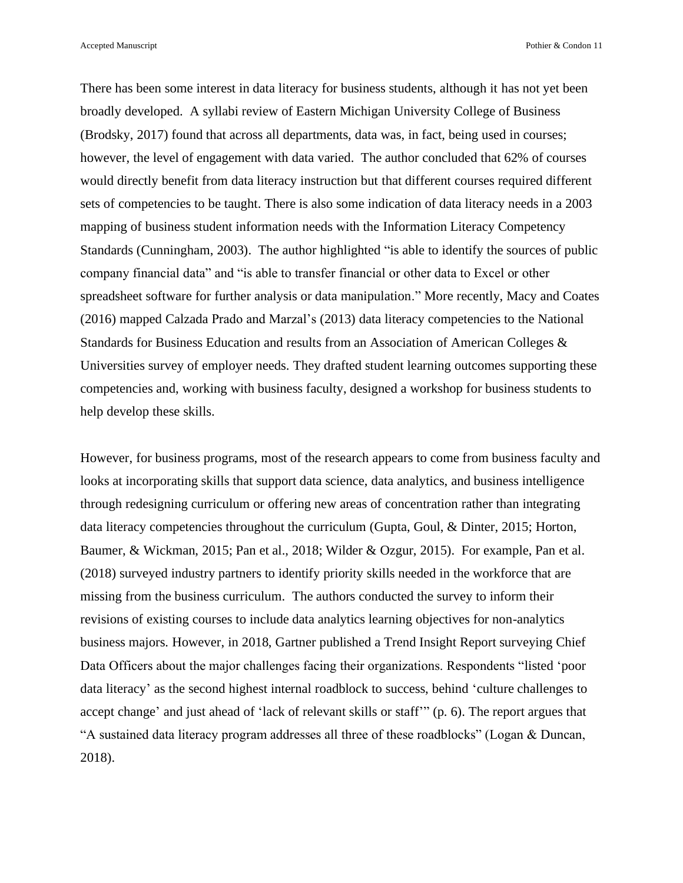There has been some interest in data literacy for business students, although it has not yet been broadly developed. A syllabi review of Eastern Michigan University College of Business (Brodsky, 2017) found that across all departments, data was, in fact, being used in courses; however, the level of engagement with data varied. The author concluded that 62% of courses would directly benefit from data literacy instruction but that different courses required different sets of competencies to be taught. There is also some indication of data literacy needs in a 2003 mapping of business student information needs with the Information Literacy Competency Standards (Cunningham, 2003). The author highlighted "is able to identify the sources of public company financial data" and "is able to transfer financial or other data to Excel or other spreadsheet software for further analysis or data manipulation." More recently, Macy and Coates (2016) mapped Calzada Prado and Marzal's (2013) data literacy competencies to the National Standards for Business Education and results from an Association of American Colleges & Universities survey of employer needs. They drafted student learning outcomes supporting these competencies and, working with business faculty, designed a workshop for business students to help develop these skills.

However, for business programs, most of the research appears to come from business faculty and looks at incorporating skills that support data science, data analytics, and business intelligence through redesigning curriculum or offering new areas of concentration rather than integrating data literacy competencies throughout the curriculum (Gupta, Goul, & Dinter, 2015; Horton, Baumer, & Wickman, 2015; Pan et al., 2018; Wilder & Ozgur, 2015). For example, Pan et al. (2018) surveyed industry partners to identify priority skills needed in the workforce that are missing from the business curriculum. The authors conducted the survey to inform their revisions of existing courses to include data analytics learning objectives for non-analytics business majors. However, in 2018, Gartner published a Trend Insight Report surveying Chief Data Officers about the major challenges facing their organizations. Respondents "listed 'poor data literacy' as the second highest internal roadblock to success, behind 'culture challenges to accept change' and just ahead of 'lack of relevant skills or staff'" (p. 6). The report argues that "A sustained data literacy program addresses all three of these roadblocks" (Logan & Duncan, 2018).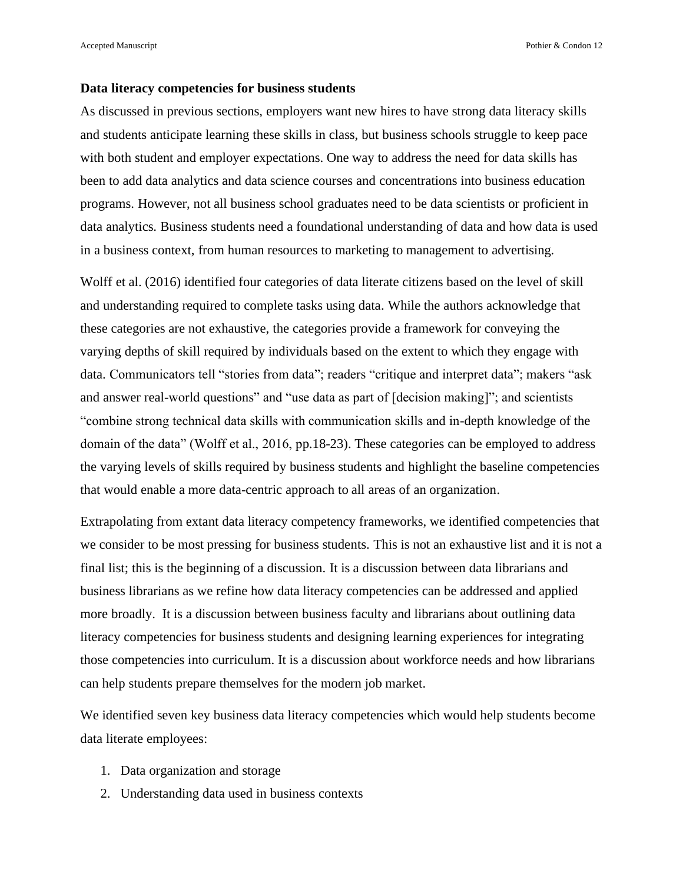#### **Data literacy competencies for business students**

As discussed in previous sections, employers want new hires to have strong data literacy skills and students anticipate learning these skills in class, but business schools struggle to keep pace with both student and employer expectations. One way to address the need for data skills has been to add data analytics and data science courses and concentrations into business education programs. However, not all business school graduates need to be data scientists or proficient in data analytics. Business students need a foundational understanding of data and how data is used in a business context, from human resources to marketing to management to advertising.

Wolff et al. (2016) identified four categories of data literate citizens based on the level of skill and understanding required to complete tasks using data. While the authors acknowledge that these categories are not exhaustive, the categories provide a framework for conveying the varying depths of skill required by individuals based on the extent to which they engage with data. Communicators tell "stories from data"; readers "critique and interpret data"; makers "ask and answer real-world questions" and "use data as part of [decision making]"; and scientists "combine strong technical data skills with communication skills and in-depth knowledge of the domain of the data" (Wolff et al., 2016, pp.18-23). These categories can be employed to address the varying levels of skills required by business students and highlight the baseline competencies that would enable a more data-centric approach to all areas of an organization.

Extrapolating from extant data literacy competency frameworks, we identified competencies that we consider to be most pressing for business students. This is not an exhaustive list and it is not a final list; this is the beginning of a discussion. It is a discussion between data librarians and business librarians as we refine how data literacy competencies can be addressed and applied more broadly. It is a discussion between business faculty and librarians about outlining data literacy competencies for business students and designing learning experiences for integrating those competencies into curriculum. It is a discussion about workforce needs and how librarians can help students prepare themselves for the modern job market.

We identified seven key business data literacy competencies which would help students become data literate employees:

- 1. Data organization and storage
- 2. Understanding data used in business contexts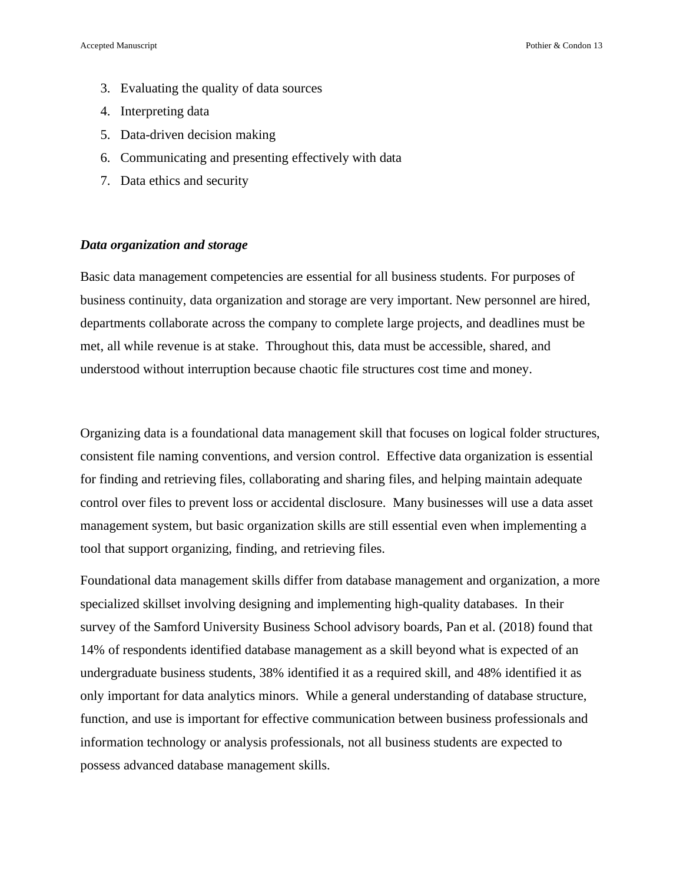- 3. Evaluating the quality of data sources
- 4. Interpreting data
- 5. Data-driven decision making
- 6. Communicating and presenting effectively with data
- 7. Data ethics and security

#### *Data organization and storage*

Basic data management competencies are essential for all business students. For purposes of business continuity, data organization and storage are very important. New personnel are hired, departments collaborate across the company to complete large projects, and deadlines must be met, all while revenue is at stake. Throughout this, data must be accessible, shared, and understood without interruption because chaotic file structures cost time and money.

Organizing data is a foundational data management skill that focuses on logical folder structures, consistent file naming conventions, and version control. Effective data organization is essential for finding and retrieving files, collaborating and sharing files, and helping maintain adequate control over files to prevent loss or accidental disclosure. Many businesses will use a data asset management system, but basic organization skills are still essential even when implementing a tool that support organizing, finding, and retrieving files.

Foundational data management skills differ from database management and organization, a more specialized skillset involving designing and implementing high-quality databases. In their survey of the Samford University Business School advisory boards, Pan et al. (2018) found that 14% of respondents identified database management as a skill beyond what is expected of an undergraduate business students, 38% identified it as a required skill, and 48% identified it as only important for data analytics minors. While a general understanding of database structure, function, and use is important for effective communication between business professionals and information technology or analysis professionals, not all business students are expected to possess advanced database management skills.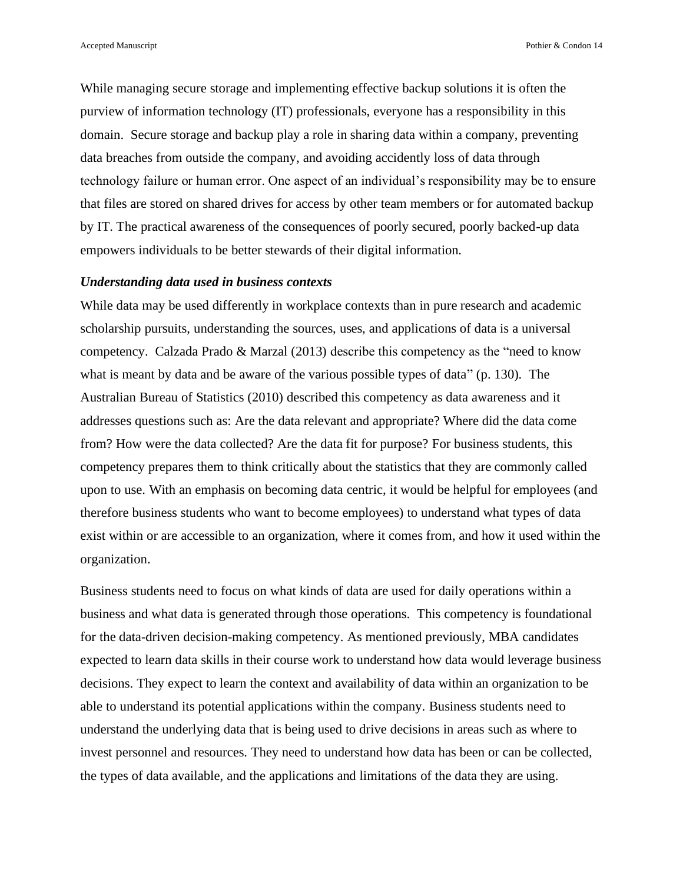Accepted Manuscript **Pothier & Condon 14** Pothier & Condon 14

While managing secure storage and implementing effective backup solutions it is often the purview of information technology (IT) professionals, everyone has a responsibility in this domain. Secure storage and backup play a role in sharing data within a company, preventing data breaches from outside the company, and avoiding accidently loss of data through technology failure or human error. One aspect of an individual's responsibility may be to ensure that files are stored on shared drives for access by other team members or for automated backup by IT. The practical awareness of the consequences of poorly secured, poorly backed-up data empowers individuals to be better stewards of their digital information.

#### *Understanding data used in business contexts*

While data may be used differently in workplace contexts than in pure research and academic scholarship pursuits, understanding the sources, uses, and applications of data is a universal competency. Calzada Prado & Marzal (2013) describe this competency as the "need to know what is meant by data and be aware of the various possible types of data" (p. 130). The Australian Bureau of Statistics (2010) described this competency as data awareness and it addresses questions such as: Are the data relevant and appropriate? Where did the data come from? How were the data collected? Are the data fit for purpose? For business students, this competency prepares them to think critically about the statistics that they are commonly called upon to use. With an emphasis on becoming data centric, it would be helpful for employees (and therefore business students who want to become employees) to understand what types of data exist within or are accessible to an organization, where it comes from, and how it used within the organization.

Business students need to focus on what kinds of data are used for daily operations within a business and what data is generated through those operations. This competency is foundational for the data-driven decision-making competency. As mentioned previously, MBA candidates expected to learn data skills in their course work to understand how data would leverage business decisions. They expect to learn the context and availability of data within an organization to be able to understand its potential applications within the company. Business students need to understand the underlying data that is being used to drive decisions in areas such as where to invest personnel and resources. They need to understand how data has been or can be collected, the types of data available, and the applications and limitations of the data they are using.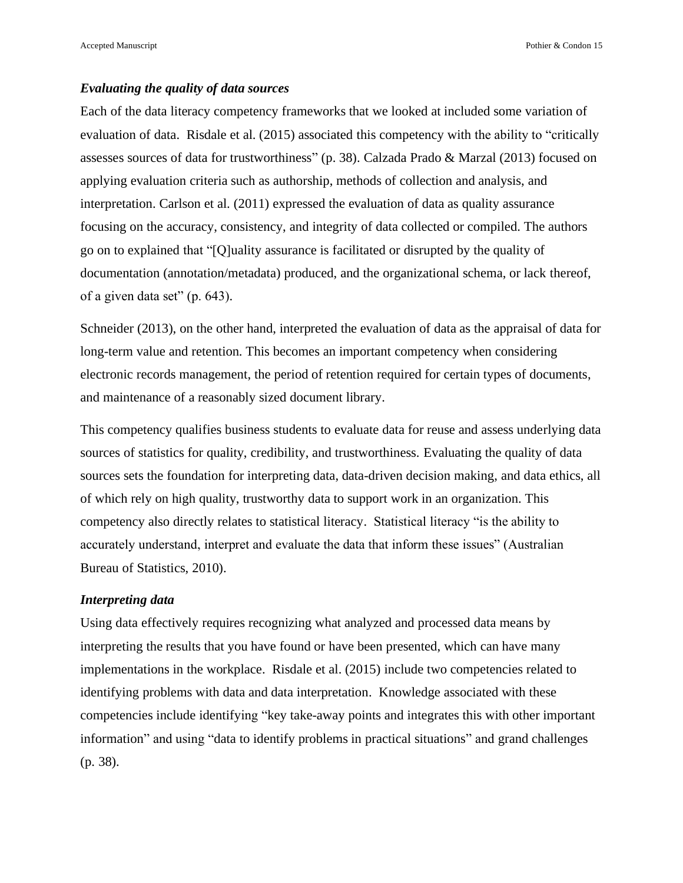#### *Evaluating the quality of data sources*

Each of the data literacy competency frameworks that we looked at included some variation of evaluation of data. Risdale et al. (2015) associated this competency with the ability to "critically assesses sources of data for trustworthiness" (p. 38). Calzada Prado & Marzal (2013) focused on applying evaluation criteria such as authorship, methods of collection and analysis, and interpretation. Carlson et al. (2011) expressed the evaluation of data as quality assurance focusing on the accuracy, consistency, and integrity of data collected or compiled. The authors go on to explained that "[Q]uality assurance is facilitated or disrupted by the quality of documentation (annotation/metadata) produced, and the organizational schema, or lack thereof, of a given data set" (p. 643).

Schneider (2013), on the other hand, interpreted the evaluation of data as the appraisal of data for long-term value and retention. This becomes an important competency when considering electronic records management, the period of retention required for certain types of documents, and maintenance of a reasonably sized document library.

This competency qualifies business students to evaluate data for reuse and assess underlying data sources of statistics for quality, credibility, and trustworthiness. Evaluating the quality of data sources sets the foundation for interpreting data, data-driven decision making, and data ethics, all of which rely on high quality, trustworthy data to support work in an organization. This competency also directly relates to statistical literacy. Statistical literacy "is the ability to accurately understand, interpret and evaluate the data that inform these issues" (Australian Bureau of Statistics, 2010).

#### *Interpreting data*

Using data effectively requires recognizing what analyzed and processed data means by interpreting the results that you have found or have been presented, which can have many implementations in the workplace. Risdale et al. (2015) include two competencies related to identifying problems with data and data interpretation. Knowledge associated with these competencies include identifying "key take-away points and integrates this with other important information" and using "data to identify problems in practical situations" and grand challenges (p. 38).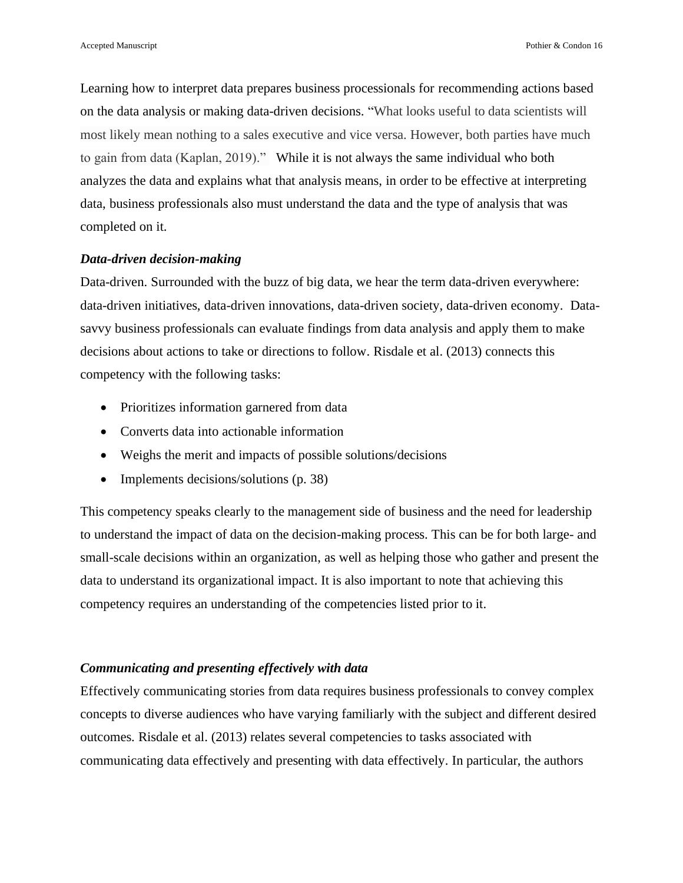Learning how to interpret data prepares business processionals for recommending actions based on the data analysis or making data-driven decisions. "What looks useful to data scientists will most likely mean nothing to a sales executive and vice versa. However, both parties have much to gain from data (Kaplan, 2019)." While it is not always the same individual who both analyzes the data and explains what that analysis means, in order to be effective at interpreting data, business professionals also must understand the data and the type of analysis that was completed on it.

#### *Data-driven decision-making*

Data-driven. Surrounded with the buzz of big data, we hear the term data-driven everywhere: data-driven initiatives, data-driven innovations, data-driven society, data-driven economy. Datasavvy business professionals can evaluate findings from data analysis and apply them to make decisions about actions to take or directions to follow. Risdale et al. (2013) connects this competency with the following tasks:

- Prioritizes information garnered from data
- Converts data into actionable information
- Weighs the merit and impacts of possible solutions/decisions
- Implements decisions/solutions (p. 38)

This competency speaks clearly to the management side of business and the need for leadership to understand the impact of data on the decision-making process. This can be for both large- and small-scale decisions within an organization, as well as helping those who gather and present the data to understand its organizational impact. It is also important to note that achieving this competency requires an understanding of the competencies listed prior to it.

#### *Communicating and presenting effectively with data*

Effectively communicating stories from data requires business professionals to convey complex concepts to diverse audiences who have varying familiarly with the subject and different desired outcomes. Risdale et al. (2013) relates several competencies to tasks associated with communicating data effectively and presenting with data effectively. In particular, the authors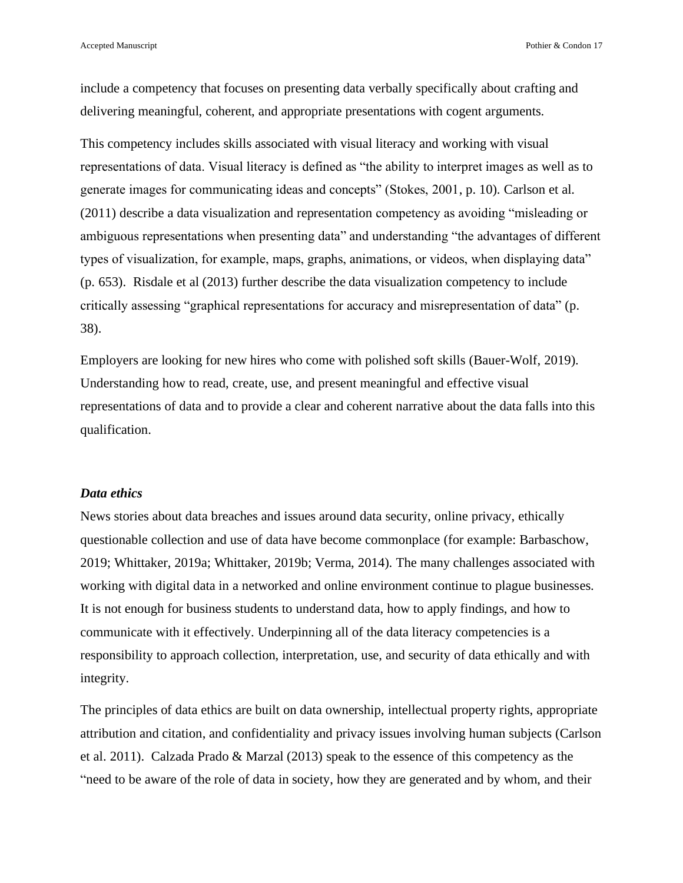Accepted Manuscript **Posterior** Pothier & Condon 17

include a competency that focuses on presenting data verbally specifically about crafting and delivering meaningful, coherent, and appropriate presentations with cogent arguments.

This competency includes skills associated with visual literacy and working with visual representations of data. Visual literacy is defined as "the ability to interpret images as well as to generate images for communicating ideas and concepts" (Stokes, 2001, p. 10). Carlson et al. (2011) describe a data visualization and representation competency as avoiding "misleading or ambiguous representations when presenting data" and understanding "the advantages of different types of visualization, for example, maps, graphs, animations, or videos, when displaying data" (p. 653). Risdale et al (2013) further describe the data visualization competency to include critically assessing "graphical representations for accuracy and misrepresentation of data" (p. 38).

Employers are looking for new hires who come with polished soft skills (Bauer-Wolf, 2019). Understanding how to read, create, use, and present meaningful and effective visual representations of data and to provide a clear and coherent narrative about the data falls into this qualification.

#### *Data ethics*

News stories about data breaches and issues around data security, online privacy, ethically questionable collection and use of data have become commonplace (for example: Barbaschow, 2019; Whittaker, 2019a; Whittaker, 2019b; Verma, 2014). The many challenges associated with working with digital data in a networked and online environment continue to plague businesses. It is not enough for business students to understand data, how to apply findings, and how to communicate with it effectively. Underpinning all of the data literacy competencies is a responsibility to approach collection, interpretation, use, and security of data ethically and with integrity.

The principles of data ethics are built on data ownership, intellectual property rights, appropriate attribution and citation, and confidentiality and privacy issues involving human subjects (Carlson et al. 2011). Calzada Prado & Marzal (2013) speak to the essence of this competency as the "need to be aware of the role of data in society, how they are generated and by whom, and their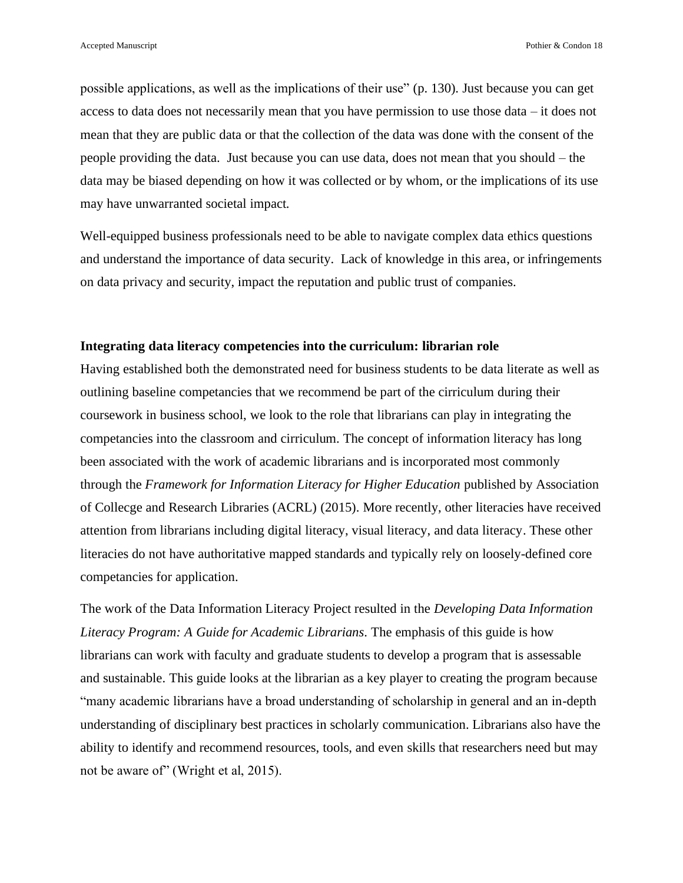possible applications, as well as the implications of their use" (p. 130). Just because you can get access to data does not necessarily mean that you have permission to use those data – it does not mean that they are public data or that the collection of the data was done with the consent of the people providing the data. Just because you can use data, does not mean that you should – the data may be biased depending on how it was collected or by whom, or the implications of its use may have unwarranted societal impact.

Well-equipped business professionals need to be able to navigate complex data ethics questions and understand the importance of data security. Lack of knowledge in this area, or infringements on data privacy and security, impact the reputation and public trust of companies.

#### **Integrating data literacy competencies into the curriculum: librarian role**

Having established both the demonstrated need for business students to be data literate as well as outlining baseline competancies that we recommend be part of the cirriculum during their coursework in business school, we look to the role that librarians can play in integrating the competancies into the classroom and cirriculum. The concept of information literacy has long been associated with the work of academic librarians and is incorporated most commonly through the *Framework for Information Literacy for Higher Education* published by Association of Collecge and Research Libraries (ACRL) (2015). More recently, other literacies have received attention from librarians including digital literacy, visual literacy, and data literacy. These other literacies do not have authoritative mapped standards and typically rely on loosely-defined core competancies for application.

The work of the Data Information Literacy Project resulted in the *Developing Data Information Literacy Program: A Guide for Academic Librarians*. The emphasis of this guide is how librarians can work with faculty and graduate students to develop a program that is assessable and sustainable. This guide looks at the librarian as a key player to creating the program because "many academic librarians have a broad understanding of scholarship in general and an in-depth understanding of disciplinary best practices in scholarly communication. Librarians also have the ability to identify and recommend resources, tools, and even skills that researchers need but may not be aware of" (Wright et al, 2015).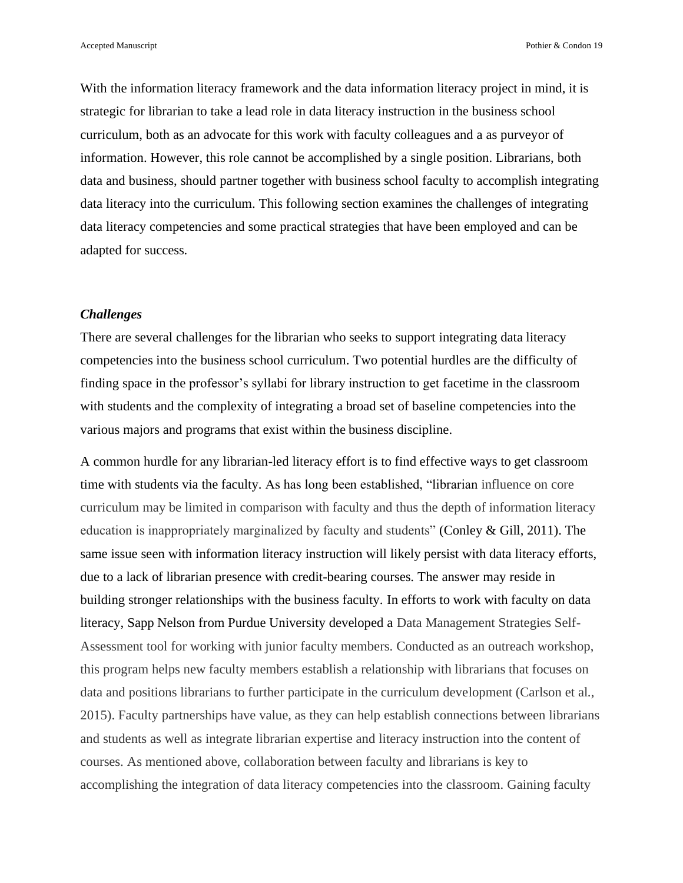Accepted Manuscript **Posterior** Pothier & Condon 19

With the information literacy framework and the data information literacy project in mind, it is strategic for librarian to take a lead role in data literacy instruction in the business school curriculum, both as an advocate for this work with faculty colleagues and a as purveyor of information. However, this role cannot be accomplished by a single position. Librarians, both data and business, should partner together with business school faculty to accomplish integrating data literacy into the curriculum. This following section examines the challenges of integrating data literacy competencies and some practical strategies that have been employed and can be adapted for success.

#### *Challenges*

There are several challenges for the librarian who seeks to support integrating data literacy competencies into the business school curriculum. Two potential hurdles are the difficulty of finding space in the professor's syllabi for library instruction to get facetime in the classroom with students and the complexity of integrating a broad set of baseline competencies into the various majors and programs that exist within the business discipline.

A common hurdle for any librarian-led literacy effort is to find effective ways to get classroom time with students via the faculty. As has long been established, "librarian influence on core curriculum may be limited in comparison with faculty and thus the depth of information literacy education is inappropriately marginalized by faculty and students" (Conley & Gill, 2011). The same issue seen with information literacy instruction will likely persist with data literacy efforts, due to a lack of librarian presence with credit-bearing courses. The answer may reside in building stronger relationships with the business faculty. In efforts to work with faculty on data literacy, Sapp Nelson from Purdue University developed a Data Management Strategies Self-Assessment tool for working with junior faculty members. Conducted as an outreach workshop, this program helps new faculty members establish a relationship with librarians that focuses on data and positions librarians to further participate in the curriculum development (Carlson et al., 2015). Faculty partnerships have value, as they can help establish connections between librarians and students as well as integrate librarian expertise and literacy instruction into the content of courses. As mentioned above, collaboration between faculty and librarians is key to accomplishing the integration of data literacy competencies into the classroom. Gaining faculty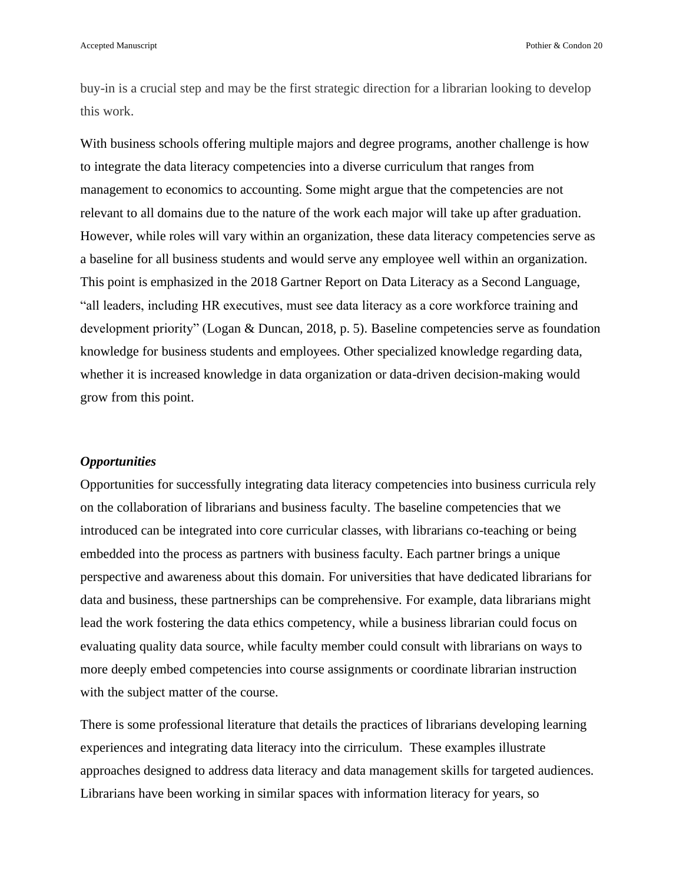buy-in is a crucial step and may be the first strategic direction for a librarian looking to develop this work.

With business schools offering multiple majors and degree programs, another challenge is how to integrate the data literacy competencies into a diverse curriculum that ranges from management to economics to accounting. Some might argue that the competencies are not relevant to all domains due to the nature of the work each major will take up after graduation. However, while roles will vary within an organization, these data literacy competencies serve as a baseline for all business students and would serve any employee well within an organization. This point is emphasized in the 2018 Gartner Report on Data Literacy as a Second Language, "all leaders, including HR executives, must see data literacy as a core workforce training and development priority" (Logan & Duncan, 2018, p. 5). Baseline competencies serve as foundation knowledge for business students and employees. Other specialized knowledge regarding data, whether it is increased knowledge in data organization or data-driven decision-making would grow from this point.

#### *Opportunities*

Opportunities for successfully integrating data literacy competencies into business curricula rely on the collaboration of librarians and business faculty. The baseline competencies that we introduced can be integrated into core curricular classes, with librarians co-teaching or being embedded into the process as partners with business faculty. Each partner brings a unique perspective and awareness about this domain. For universities that have dedicated librarians for data and business, these partnerships can be comprehensive. For example, data librarians might lead the work fostering the data ethics competency, while a business librarian could focus on evaluating quality data source, while faculty member could consult with librarians on ways to more deeply embed competencies into course assignments or coordinate librarian instruction with the subject matter of the course.

There is some professional literature that details the practices of librarians developing learning experiences and integrating data literacy into the cirriculum. These examples illustrate approaches designed to address data literacy and data management skills for targeted audiences. Librarians have been working in similar spaces with information literacy for years, so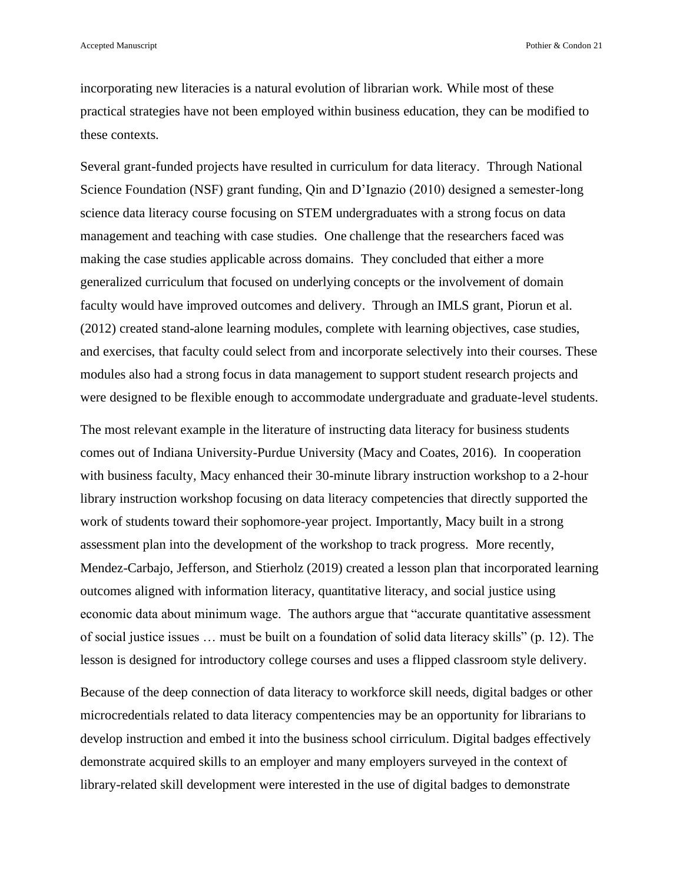incorporating new literacies is a natural evolution of librarian work. While most of these practical strategies have not been employed within business education, they can be modified to these contexts.

Several grant-funded projects have resulted in curriculum for data literacy. Through National Science Foundation (NSF) grant funding, Qin and D'Ignazio (2010) designed a semester-long science data literacy course focusing on STEM undergraduates with a strong focus on data management and teaching with case studies. One challenge that the researchers faced was making the case studies applicable across domains. They concluded that either a more generalized curriculum that focused on underlying concepts or the involvement of domain faculty would have improved outcomes and delivery. Through an IMLS grant, Piorun et al. (2012) created stand-alone learning modules, complete with learning objectives, case studies, and exercises, that faculty could select from and incorporate selectively into their courses. These modules also had a strong focus in data management to support student research projects and were designed to be flexible enough to accommodate undergraduate and graduate-level students.

The most relevant example in the literature of instructing data literacy for business students comes out of Indiana University-Purdue University (Macy and Coates, 2016). In cooperation with business faculty, Macy enhanced their 30-minute library instruction workshop to a 2-hour library instruction workshop focusing on data literacy competencies that directly supported the work of students toward their sophomore-year project. Importantly, Macy built in a strong assessment plan into the development of the workshop to track progress. More recently, Mendez-Carbajo, Jefferson, and Stierholz (2019) created a lesson plan that incorporated learning outcomes aligned with information literacy, quantitative literacy, and social justice using economic data about minimum wage. The authors argue that "accurate quantitative assessment of social justice issues … must be built on a foundation of solid data literacy skills" (p. 12). The lesson is designed for introductory college courses and uses a flipped classroom style delivery.

Because of the deep connection of data literacy to workforce skill needs, digital badges or other microcredentials related to data literacy compentencies may be an opportunity for librarians to develop instruction and embed it into the business school cirriculum. Digital badges effectively demonstrate acquired skills to an employer and many employers surveyed in the context of library-related skill development were interested in the use of digital badges to demonstrate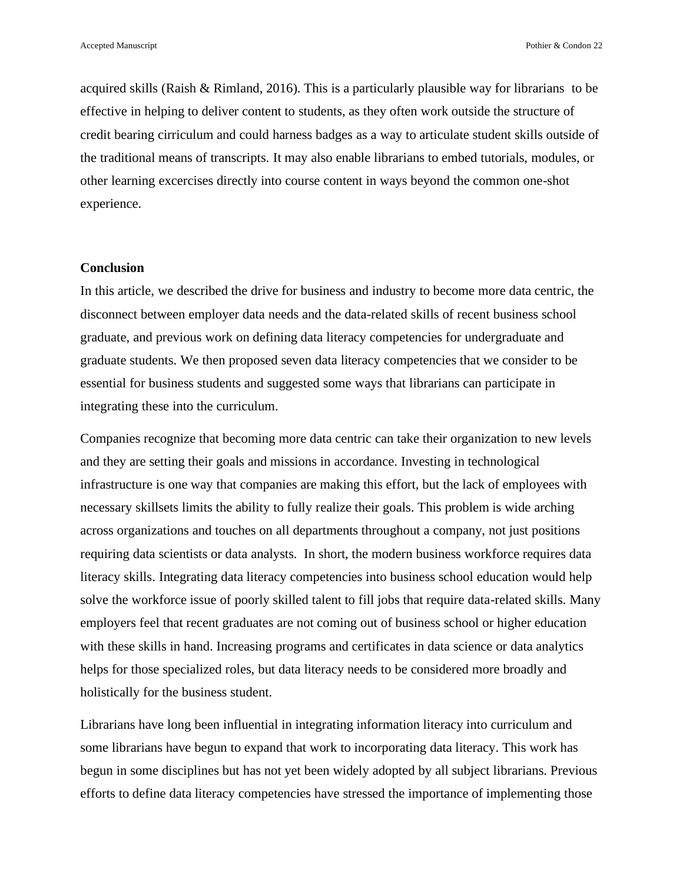acquired skills (Raish & Rimland, 2016). This is a particularly plausible way for librarians to be effective in helping to deliver content to students, as they often work outside the structure of credit bearing cirriculum and could harness badges as a way to articulate student skills outside of the traditional means of transcripts. It may also enable librarians to embed tutorials, modules, or other learning excercises directly into course content in ways beyond the common one-shot experience.

#### **Conclusion**

In this article, we described the drive for business and industry to become more data centric, the disconnect between employer data needs and the data-related skills of recent business school graduate, and previous work on defining data literacy competencies for undergraduate and graduate students. We then proposed seven data literacy competencies that we consider to be essential for business students and suggested some ways that librarians can participate in integrating these into the curriculum.

Companies recognize that becoming more data centric can take their organization to new levels and they are setting their goals and missions in accordance. Investing in technological infrastructure is one way that companies are making this effort, but the lack of employees with necessary skillsets limits the ability to fully realize their goals. This problem is wide arching across organizations and touches on all departments throughout a company, not just positions requiring data scientists or data analysts. In short, the modern business workforce requires data literacy skills. Integrating data literacy competencies into business school education would help solve the workforce issue of poorly skilled talent to fill jobs that require data-related skills. Many employers feel that recent graduates are not coming out of business school or higher education with these skills in hand. Increasing programs and certificates in data science or data analytics helps for those specialized roles, but data literacy needs to be considered more broadly and holistically for the business student.

Librarians have long been influential in integrating information literacy into curriculum and some librarians have begun to expand that work to incorporating data literacy. This work has begun in some disciplines but has not yet been widely adopted by all subject librarians. Previous efforts to define data literacy competencies have stressed the importance of implementing those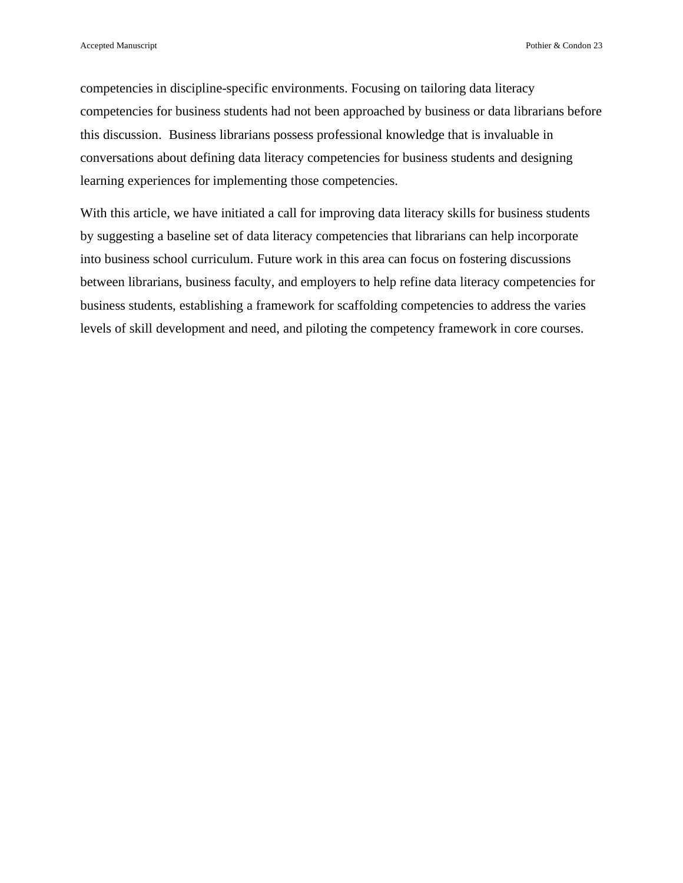competencies in discipline-specific environments. Focusing on tailoring data literacy competencies for business students had not been approached by business or data librarians before this discussion. Business librarians possess professional knowledge that is invaluable in conversations about defining data literacy competencies for business students and designing learning experiences for implementing those competencies.

With this article, we have initiated a call for improving data literacy skills for business students by suggesting a baseline set of data literacy competencies that librarians can help incorporate into business school curriculum. Future work in this area can focus on fostering discussions between librarians, business faculty, and employers to help refine data literacy competencies for business students, establishing a framework for scaffolding competencies to address the varies levels of skill development and need, and piloting the competency framework in core courses.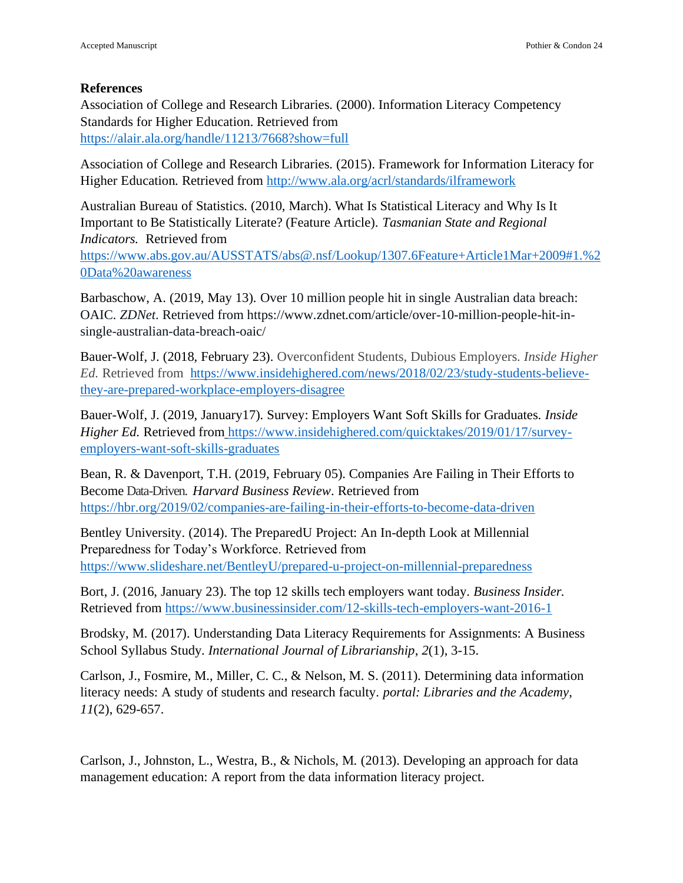#### **References**

Association of College and Research Libraries. (2000). Information Literacy Competency Standards for Higher Education. Retrieved from <https://alair.ala.org/handle/11213/7668?show=full>

Association of College and Research Libraries. (2015). Framework for Information Literacy for Higher Education. Retrieved from<http://www.ala.org/acrl/standards/ilframework>

Australian Bureau of Statistics. (2010, March). What Is Statistical Literacy and Why Is It Important to Be Statistically Literate? (Feature Article). *Tasmanian State and Regional Indicators.* Retrieved from

[https://www.abs.gov.au/AUSSTATS/abs@.nsf/Lookup/1307.6Feature+Article1Mar+2009#1.%2](https://www.abs.gov.au/AUSSTATS/abs@.nsf/Lookup/1307.6Feature+Article1Mar+2009#1.%20Data%20awareness) [0Data%20awareness](https://www.abs.gov.au/AUSSTATS/abs@.nsf/Lookup/1307.6Feature+Article1Mar+2009#1.%20Data%20awareness)

Barbaschow, A. (2019, May 13). Over 10 million people hit in single Australian data breach: OAIC. *ZDNet*. Retrieved from https://www.zdnet.com/article/over-10-million-people-hit-insingle-australian-data-breach-oaic/

Bauer-Wolf, J. (2018, February 23). Overconfident Students, Dubious Employers. *Inside Higher Ed.* Retrieved from [https://www.insidehighered.com/news/2018/02/23/study-students-believe](https://www.insidehighered.com/news/2018/02/23/study-students-believe-they-are-prepared-workplace-employers-disagree)[they-are-prepared-workplace-employers-disagree](https://www.insidehighered.com/news/2018/02/23/study-students-believe-they-are-prepared-workplace-employers-disagree)

Bauer-Wolf, J. (2019, January17). Survey: Employers Want Soft Skills for Graduates. *Inside Higher Ed.* Retrieved from [https://www.insidehighered.com/quicktakes/2019/01/17/survey](https://www.insidehighered.com/quicktakes/2019/01/17/survey-employers-want-soft-skills-graduates)[employers-want-soft-skills-graduates](https://www.insidehighered.com/quicktakes/2019/01/17/survey-employers-want-soft-skills-graduates)

Bean, R. & Davenport, T.H. (2019, February 05). Companies Are Failing in Their Efforts to Become Data-Driven. *Harvard Business Review*. Retrieved from <https://hbr.org/2019/02/companies-are-failing-in-their-efforts-to-become-data-driven>

Bentley University. (2014). The PreparedU Project: An In-depth Look at Millennial Preparedness for Today's Workforce. Retrieved from https://www.slideshare.net/BentleyU/prepared-u-project-on-millennial-preparedness

Bort, J. (2016, January 23). The top 12 skills tech employers want today. *Business Insider.*  Retrieved from<https://www.businessinsider.com/12-skills-tech-employers-want-2016-1>

Brodsky, M. (2017). Understanding Data Literacy Requirements for Assignments: A Business School Syllabus Study. *International Journal of Librarianship*, *2*(1), 3-15.

Carlson, J., Fosmire, M., Miller, C. C., & Nelson, M. S. (2011). Determining data information literacy needs: A study of students and research faculty. *portal: Libraries and the Academy*, *11*(2), 629-657.

Carlson, J., Johnston, L., Westra, B., & Nichols, M. (2013). Developing an approach for data management education: A report from the data information literacy project.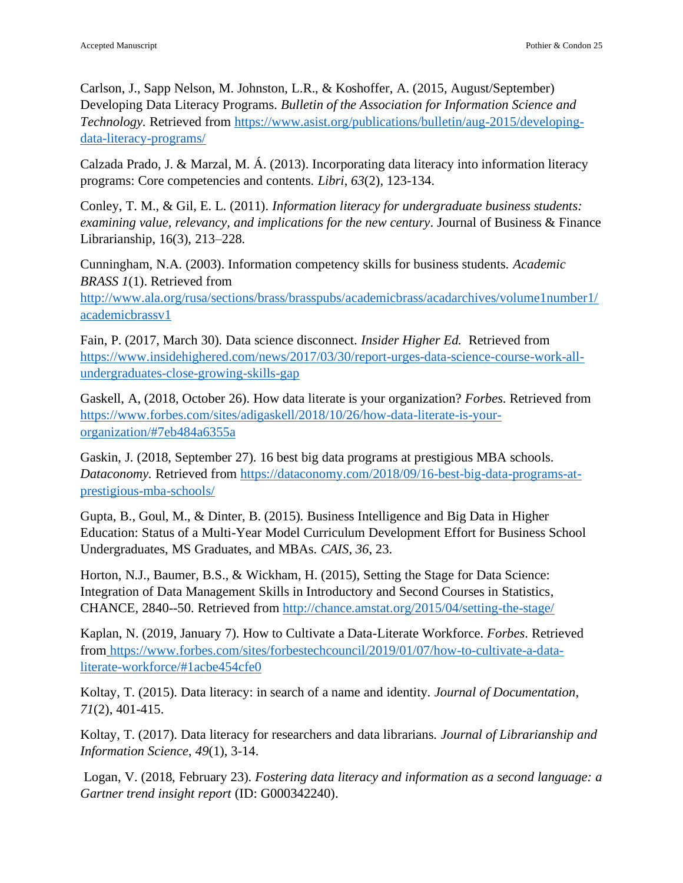Carlson, J., Sapp Nelson, M. Johnston, L.R., & Koshoffer, A. (2015, August/September) Developing Data Literacy Programs. *Bulletin of the Association for Information Science and Technology.* Retrieved from [https://www.asist.org/publications/bulletin/aug-2015/developing](https://www.asist.org/publications/bulletin/aug-2015/developing-data-literacy-programs/)[data-literacy-programs/](https://www.asist.org/publications/bulletin/aug-2015/developing-data-literacy-programs/)

Calzada Prado, J. & Marzal, M. Á. (2013). Incorporating data literacy into information literacy programs: Core competencies and contents. *Libri*, *63*(2), 123-134.

Conley, T. M., & Gil, E. L. (2011). *Information literacy for undergraduate business students: examining value, relevancy, and implications for the new century*. Journal of Business & Finance Librarianship, 16(3), 213–228.

Cunningham, N.A. (2003). Information competency skills for business students. *Academic BRASS 1*(1). Retrieved from

[http://www.ala.org/rusa/sections/brass/brasspubs/academicbrass/acadarchives/volume1number1/](http://www.ala.org/rusa/sections/brass/brasspubs/academicbrass/acadarchives/volume1number1/academicbrassv1) [academicbrassv1](http://www.ala.org/rusa/sections/brass/brasspubs/academicbrass/acadarchives/volume1number1/academicbrassv1)

Fain, P. (2017, March 30). Data science disconnect. *Insider Higher Ed.* Retrieved from [https://www.insidehighered.com/news/2017/03/30/report-urges-data-science-course-work-all](https://www.insidehighered.com/news/2017/03/30/report-urges-data-science-course-work-all-undergraduates-close-growing-skills-gap)[undergraduates-close-growing-skills-gap](https://www.insidehighered.com/news/2017/03/30/report-urges-data-science-course-work-all-undergraduates-close-growing-skills-gap)

Gaskell, A, (2018, October 26). How data literate is your organization? *Forbes*. Retrieved from [https://www.forbes.com/sites/adigaskell/2018/10/26/how-data-literate-is-your](https://www.forbes.com/sites/adigaskell/2018/10/26/how-data-literate-is-your-organization/#7eb484a6355a)[organization/#7eb484a6355a](https://www.forbes.com/sites/adigaskell/2018/10/26/how-data-literate-is-your-organization/#7eb484a6355a)

Gaskin, J. (2018, September 27). 16 best big data programs at prestigious MBA schools. *Dataconomy.* Retrieved from [https://dataconomy.com/2018/09/16-best-big-data-programs-at](https://dataconomy.com/2018/09/16-best-big-data-programs-at-prestigious-mba-schools/)[prestigious-mba-schools/](https://dataconomy.com/2018/09/16-best-big-data-programs-at-prestigious-mba-schools/)

Gupta, B., Goul, M., & Dinter, B. (2015). Business Intelligence and Big Data in Higher Education: Status of a Multi-Year Model Curriculum Development Effort for Business School Undergraduates, MS Graduates, and MBAs. *CAIS*, *36*, 23.

Horton, N.J., Baumer, B.S., & Wickham, H. (2015), Setting the Stage for Data Science: Integration of Data Management Skills in Introductory and Second Courses in Statistics, CHANCE, 2840--50. Retrieved from<http://chance.amstat.org/2015/04/setting-the-stage/>

Kaplan, N. (2019, January 7). How to Cultivate a Data-Literate Workforce. *Forbes*. Retrieved from [https://www.forbes.com/sites/forbestechcouncil/2019/01/07/how-to-cultivate-a-data](https://www.forbes.com/sites/forbestechcouncil/2019/01/07/how-to-cultivate-a-data-literate-workforce/#1acbe454cfe0)[literate-workforce/#1acbe454cfe0](https://www.forbes.com/sites/forbestechcouncil/2019/01/07/how-to-cultivate-a-data-literate-workforce/#1acbe454cfe0)

Koltay, T. (2015). Data literacy: in search of a name and identity. *Journal of Documentation*, *71*(2), 401-415.

Koltay, T. (2017). Data literacy for researchers and data librarians. *Journal of Librarianship and Information Science*, *49*(1), 3-14.

Logan, V. (2018, February 23). *Fostering data literacy and information as a second language: a Gartner trend insight report* (ID: G000342240).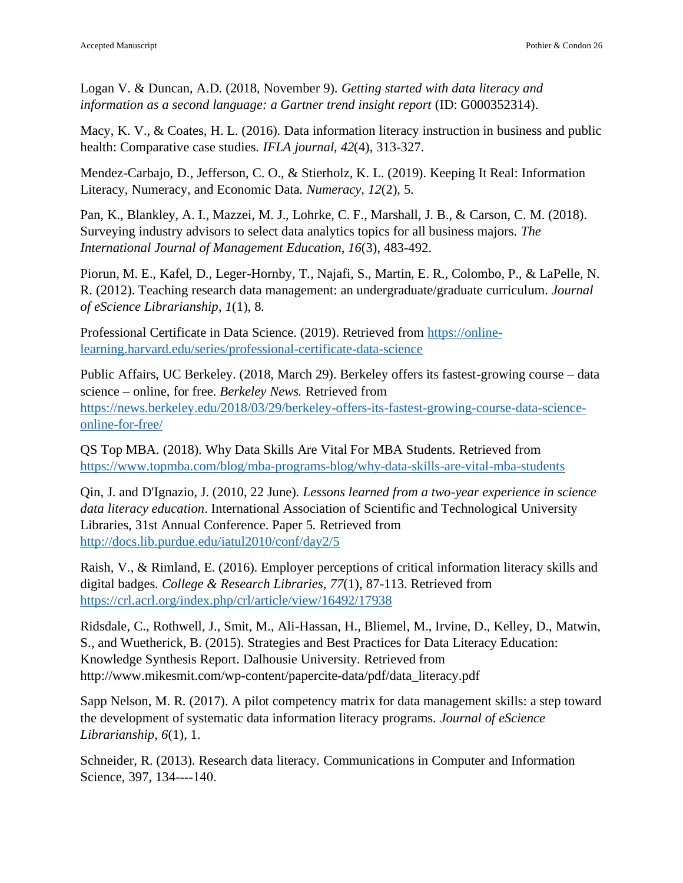Logan V. & Duncan, A.D. (2018, November 9). *Getting started with data literacy and information as a second language: a Gartner trend insight report* (ID: G000352314).

Macy, K. V., & Coates, H. L. (2016). Data information literacy instruction in business and public health: Comparative case studies. *IFLA journal*, *42*(4), 313-327.

Mendez-Carbajo, D., Jefferson, C. O., & Stierholz, K. L. (2019). Keeping It Real: Information Literacy, Numeracy, and Economic Data. *Numeracy*, *12*(2), 5.

Pan, K., Blankley, A. I., Mazzei, M. J., Lohrke, C. F., Marshall, J. B., & Carson, C. M. (2018). Surveying industry advisors to select data analytics topics for all business majors. *The International Journal of Management Education*, *16*(3), 483-492.

Piorun, M. E., Kafel, D., Leger-Hornby, T., Najafi, S., Martin, E. R., Colombo, P., & LaPelle, N. R. (2012). Teaching research data management: an undergraduate/graduate curriculum. *Journal of eScience Librarianship*, *1*(1), 8.

Professional Certificate in Data Science. (2019). Retrieved from [https://online](https://online-learning.harvard.edu/series/professional-certificate-data-science)[learning.harvard.edu/series/professional-certificate-data-science](https://online-learning.harvard.edu/series/professional-certificate-data-science)

Public Affairs, UC Berkeley. (2018, March 29). Berkeley offers its fastest-growing course – data science – online, for free. *Berkeley News.* Retrieved from [https://news.berkeley.edu/2018/03/29/berkeley-offers-its-fastest-growing-course-data-science](https://news.berkeley.edu/2018/03/29/berkeley-offers-its-fastest-growing-course-data-science-online-for-free/)[online-for-free/](https://news.berkeley.edu/2018/03/29/berkeley-offers-its-fastest-growing-course-data-science-online-for-free/)

QS Top MBA. (2018). Why Data Skills Are Vital For MBA Students. Retrieved from <https://www.topmba.com/blog/mba-programs-blog/why-data-skills-are-vital-mba-students>

Qin, J. and D'Ignazio, J. (2010, 22 June). *Lessons learned from a two-year experience in science data literacy education*. International Association of Scientific and Technological University Libraries, 31st Annual Conference. Paper 5. Retrieved from <http://docs.lib.purdue.edu/iatul2010/conf/day2/5>

Raish, V., & Rimland, E. (2016). Employer perceptions of critical information literacy skills and digital badges. *College & Research Libraries*, *77*(1), 87-113. Retrieved from <https://crl.acrl.org/index.php/crl/article/view/16492/17938>

Ridsdale, C., Rothwell, J., Smit, M., Ali-Hassan, H., Bliemel, M., Irvine, D., Kelley, D., Matwin, S., and Wuetherick, B. (2015). Strategies and Best Practices for Data Literacy Education: Knowledge Synthesis Report. Dalhousie University. Retrieved from http://www.mikesmit.com/wp-content/papercite-data/pdf/data\_literacy.pdf

Sapp Nelson, M. R. (2017). A pilot competency matrix for data management skills: a step toward the development of systematic data information literacy programs. *Journal of eScience Librarianship*, *6*(1), 1.

Schneider, R. (2013). Research data literacy. Communications in Computer and Information Science, 397, 134----140.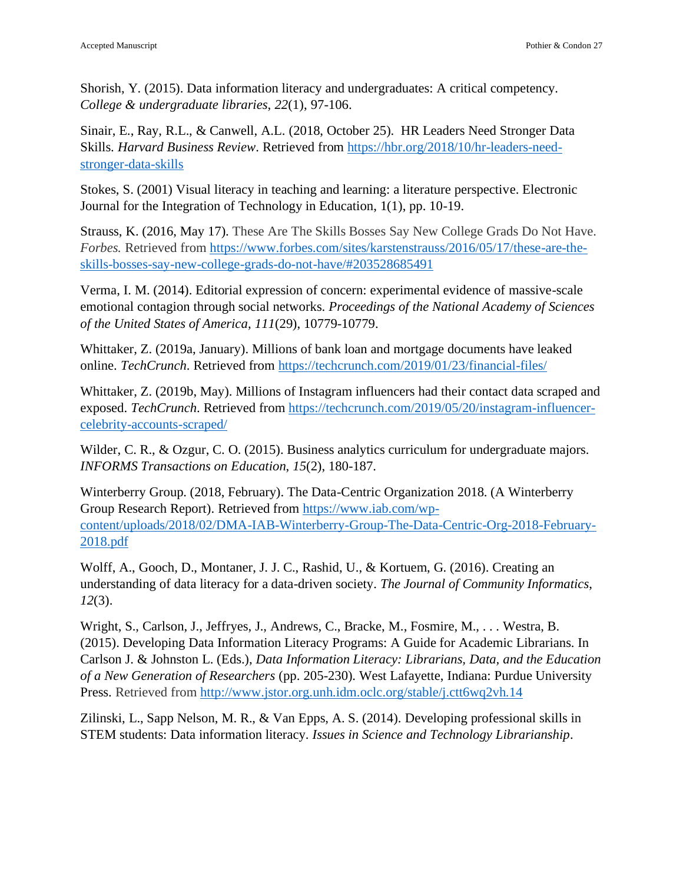Shorish, Y. (2015). Data information literacy and undergraduates: A critical competency. *College & undergraduate libraries*, *22*(1), 97-106.

Sinair, E., Ray, R.L., & Canwell, A.L. (2018, October 25). HR Leaders Need Stronger Data Skills. *Harvard Business Review*. Retrieved from [https://hbr.org/2018/10/hr-leaders-need](https://hbr.org/2018/10/hr-leaders-need-stronger-data-skills)[stronger-data-skills](https://hbr.org/2018/10/hr-leaders-need-stronger-data-skills)

Stokes, S. (2001) Visual literacy in teaching and learning: a literature perspective. Electronic Journal for the Integration of Technology in Education, 1(1), pp. 10-19.

Strauss, K. (2016, May 17). These Are The Skills Bosses Say New College Grads Do Not Have. *Forbes.* Retrieved from [https://www.forbes.com/sites/karstenstrauss/2016/05/17/these-are-the](https://www.forbes.com/sites/karstenstrauss/2016/05/17/these-are-the-skills-bosses-say-new-college-grads-do-not-have/#203528685491)[skills-bosses-say-new-college-grads-do-not-have/#203528685491](https://www.forbes.com/sites/karstenstrauss/2016/05/17/these-are-the-skills-bosses-say-new-college-grads-do-not-have/#203528685491)

Verma, I. M. (2014). Editorial expression of concern: experimental evidence of massive-scale emotional contagion through social networks. *Proceedings of the National Academy of Sciences of the United States of America*, *111*(29), 10779-10779.

Whittaker, Z. (2019a, January). Millions of bank loan and mortgage documents have leaked online. *TechCrunch*. Retrieved from https://techcrunch.com/2019/01/23/financial-files/

Whittaker, Z. (2019b, May). Millions of Instagram influencers had their contact data scraped and exposed. *TechCrunch*. Retrieved from https://techcrunch.com/2019/05/20/instagram-influencercelebrity-accounts-scraped/

Wilder, C. R., & Ozgur, C. O. (2015). Business analytics curriculum for undergraduate majors. *INFORMS Transactions on Education*, *15*(2), 180-187.

Winterberry Group. (2018, February). The Data-Centric Organization 2018. (A Winterberry Group Research Report). Retrieved from [https://www.iab.com/wp](https://www.iab.com/wp-content/uploads/2018/02/DMA-IAB-Winterberry-Group-The-Data-Centric-Org-2018-February-2018.pdf)[content/uploads/2018/02/DMA-IAB-Winterberry-Group-The-Data-Centric-Org-2018-February-](https://www.iab.com/wp-content/uploads/2018/02/DMA-IAB-Winterberry-Group-The-Data-Centric-Org-2018-February-2018.pdf)[2018.pdf](https://www.iab.com/wp-content/uploads/2018/02/DMA-IAB-Winterberry-Group-The-Data-Centric-Org-2018-February-2018.pdf)

Wolff, A., Gooch, D., Montaner, J. J. C., Rashid, U., & Kortuem, G. (2016). Creating an understanding of data literacy for a data-driven society. *The Journal of Community Informatics*, *12*(3).

Wright, S., Carlson, J., Jeffryes, J., Andrews, C., Bracke, M., Fosmire, M., . . . Westra, B. (2015). Developing Data Information Literacy Programs: A Guide for Academic Librarians. In Carlson J. & Johnston L. (Eds.), *Data Information Literacy: Librarians, Data, and the Education of a New Generation of Researchers* (pp. 205-230). West Lafayette, Indiana: Purdue University Press. Retrieved from<http://www.jstor.org.unh.idm.oclc.org/stable/j.ctt6wq2vh.14>

Zilinski, L., Sapp Nelson, M. R., & Van Epps, A. S. (2014). Developing professional skills in STEM students: Data information literacy. *Issues in Science and Technology Librarianship*.